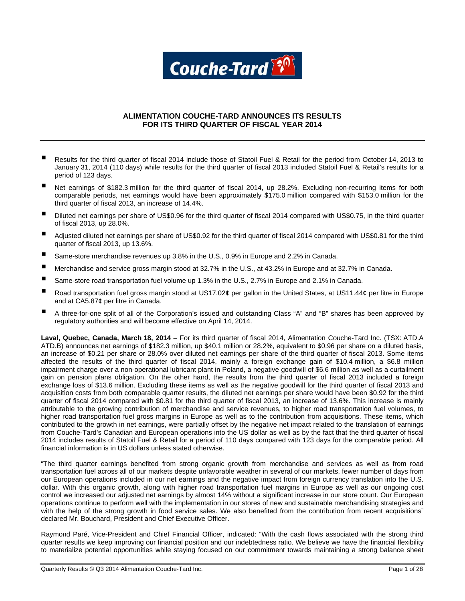

### **ALIMENTATION COUCHE-TARD ANNOUNCES ITS RESULTS FOR ITS THIRD QUARTER OF FISCAL YEAR 2014**

- Results for the third quarter of fiscal 2014 include those of Statoil Fuel & Retail for the period from October 14, 2013 to January 31, 2014 (110 days) while results for the third quarter of fiscal 2013 included Statoil Fuel & Retail's results for a period of 123 days.
- Net earnings of \$182.3 million for the third quarter of fiscal 2014, up 28.2%. Excluding non-recurring items for both comparable periods, net earnings would have been approximately \$175.0 million compared with \$153.0 million for the third quarter of fiscal 2013, an increase of 14.4%.
- Diluted net earnings per share of US\$0.96 for the third quarter of fiscal 2014 compared with US\$0.75, in the third quarter of fiscal 2013, up 28.0%.
- Adjusted diluted net earnings per share of US\$0.92 for the third quarter of fiscal 2014 compared with US\$0.81 for the third quarter of fiscal 2013, up 13.6%.
- Same-store merchandise revenues up 3.8% in the U.S., 0.9% in Europe and 2.2% in Canada.
- Merchandise and service gross margin stood at 32.7% in the U.S., at 43.2% in Europe and at 32.7% in Canada.
- Same-store road transportation fuel volume up 1.3% in the U.S., 2.7% in Europe and 2.1% in Canada.
- Road transportation fuel gross margin stood at US17.02¢ per gallon in the United States, at US11.44¢ per litre in Europe and at CA5.87¢ per litre in Canada.
- A three-for-one split of all of the Corporation's issued and outstanding Class "A" and "B" shares has been approved by regulatory authorities and will become effective on April 14, 2014.

**Laval, Quebec, Canada, March 18, 2014** – For its third quarter of fiscal 2014, Alimentation Couche-Tard Inc. (TSX: ATD.A ATD.B) announces net earnings of \$182.3 million, up \$40.1 million or 28.2%, equivalent to \$0.96 per share on a diluted basis, an increase of \$0.21 per share or 28.0% over diluted net earnings per share of the third quarter of fiscal 2013. Some items affected the results of the third quarter of fiscal 2014, mainly a foreign exchange gain of \$10.4 million, a \$6.8 million impairment charge over a non-operational lubricant plant in Poland, a negative goodwill of \$6.6 million as well as a curtailment gain on pension plans obligation. On the other hand, the results from the third quarter of fiscal 2013 included a foreign exchange loss of \$13.6 million. Excluding these items as well as the negative goodwill for the third quarter of fiscal 2013 and acquisition costs from both comparable quarter results, the diluted net earnings per share would have been \$0.92 for the third quarter of fiscal 2014 compared with \$0.81 for the third quarter of fiscal 2013, an increase of 13.6%. This increase is mainly attributable to the growing contribution of merchandise and service revenues, to higher road transportation fuel volumes, to higher road transportation fuel gross margins in Europe as well as to the contribution from acquisitions. These items, which contributed to the growth in net earnings, were partially offset by the negative net impact related to the translation of earnings from Couche-Tard's Canadian and European operations into the US dollar as well as by the fact that the third quarter of fiscal 2014 includes results of Statoil Fuel & Retail for a period of 110 days compared with 123 days for the comparable period. All financial information is in US dollars unless stated otherwise.

"The third quarter earnings benefited from strong organic growth from merchandise and services as well as from road transportation fuel across all of our markets despite unfavorable weather in several of our markets, fewer number of days from our European operations included in our net earnings and the negative impact from foreign currency translation into the U.S. dollar. With this organic growth, along with higher road transportation fuel margins in Europe as well as our ongoing cost control we increased our adjusted net earnings by almost 14% without a significant increase in our store count. Our European operations continue to perform well with the implementation in our stores of new and sustainable merchandising strategies and with the help of the strong growth in food service sales. We also benefited from the contribution from recent acquisitions" declared Mr. Bouchard, President and Chief Executive Officer.

Raymond Paré, Vice-President and Chief Financial Officer, indicated: "With the cash flows associated with the strong third quarter results we keep improving our financial position and our indebtedness ratio. We believe we have the financial flexibility to materialize potential opportunities while staying focused on our commitment towards maintaining a strong balance sheet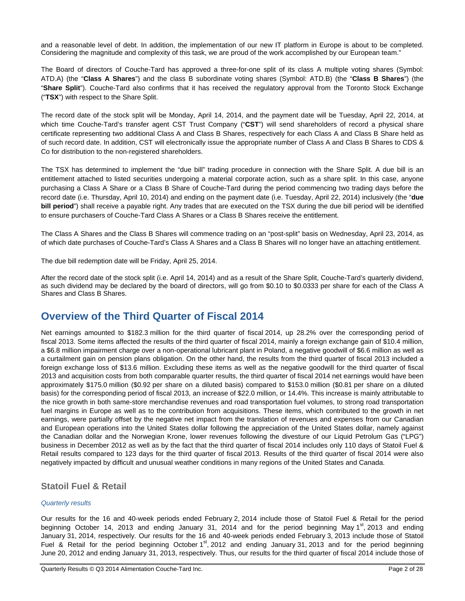and a reasonable level of debt. In addition, the implementation of our new IT platform in Europe is about to be completed. Considering the magnitude and complexity of this task, we are proud of the work accomplished by our European team."

The Board of directors of Couche-Tard has approved a three-for-one split of its class A multiple voting shares (Symbol: ATD.A) (the "**Class A Shares**") and the class B subordinate voting shares (Symbol: ATD.B) (the "**Class B Shares**") (the "**Share Split**"). Couche-Tard also confirms that it has received the regulatory approval from the Toronto Stock Exchange ("**TSX**") with respect to the Share Split.

The record date of the stock split will be Monday, April 14, 2014, and the payment date will be Tuesday, April 22, 2014, at which time Couche-Tard's transfer agent CST Trust Company ("**CST**") will send shareholders of record a physical share certificate representing two additional Class A and Class B Shares, respectively for each Class A and Class B Share held as of such record date. In addition, CST will electronically issue the appropriate number of Class A and Class B Shares to CDS & Co for distribution to the non-registered shareholders.

The TSX has determined to implement the "due bill" trading procedure in connection with the Share Split. A due bill is an entitlement attached to listed securities undergoing a material corporate action, such as a share split. In this case, anyone purchasing a Class A Share or a Class B Share of Couche-Tard during the period commencing two trading days before the record date (i.e. Thursday, April 10, 2014) and ending on the payment date (i.e. Tuesday, April 22, 2014) inclusively (the "**due bill period**") shall receive a payable right. Any trades that are executed on the TSX during the due bill period will be identified to ensure purchasers of Couche-Tard Class A Shares or a Class B Shares receive the entitlement.

The Class A Shares and the Class B Shares will commence trading on an "post-split" basis on Wednesday, April 23, 2014, as of which date purchases of Couche-Tard's Class A Shares and a Class B Shares will no longer have an attaching entitlement.

The due bill redemption date will be Friday, April 25, 2014.

After the record date of the stock split (i.e. April 14, 2014) and as a result of the Share Split, Couche-Tard's quarterly dividend, as such dividend may be declared by the board of directors, will go from \$0.10 to \$0.0333 per share for each of the Class A Shares and Class B Shares.

# **Overview of the Third Quarter of Fiscal 2014**

Net earnings amounted to \$182.3 million for the third quarter of fiscal 2014, up 28.2% over the corresponding period of fiscal 2013. Some items affected the results of the third quarter of fiscal 2014, mainly a foreign exchange gain of \$10.4 million, a \$6.8 million impairment charge over a non-operational lubricant plant in Poland, a negative goodwill of \$6.6 million as well as a curtailment gain on pension plans obligation. On the other hand, the results from the third quarter of fiscal 2013 included a foreign exchange loss of \$13.6 million. Excluding these items as well as the negative goodwill for the third quarter of fiscal 2013 and acquisition costs from both comparable quarter results, the third quarter of fiscal 2014 net earnings would have been approximately \$175.0 million (\$0.92 per share on a diluted basis) compared to \$153.0 million (\$0.81 per share on a diluted basis) for the corresponding period of fiscal 2013, an increase of \$22.0 million, or 14.4%. This increase is mainly attributable to the nice growth in both same-store merchandise revenues and road transportation fuel volumes, to strong road transportation fuel margins in Europe as well as to the contribution from acquisitions. These items, which contributed to the growth in net earnings, were partially offset by the negative net impact from the translation of revenues and expenses from our Canadian and European operations into the United States dollar following the appreciation of the United States dollar, namely against the Canadian dollar and the Norwegian Krone, lower revenues following the divesture of our Liquid Petrolum Gas ("LPG") business in December 2012 as well as by the fact that the third quarter of fiscal 2014 includes only 110 days of Statoil Fuel & Retail results compared to 123 days for the third quarter of fiscal 2013. Results of the third quarter of fiscal 2014 were also negatively impacted by difficult and unusual weather conditions in many regions of the United States and Canada.

### **Statoil Fuel & Retail**

### *Quarterly results*

Our results for the 16 and 40-week periods ended February 2, 2014 include those of Statoil Fuel & Retail for the period beginning October 14, 2013 and ending January 31, 2014 and for the period beginning May  $1^{\text{st}}$ , 2013 and ending January 31, 2014, respectively. Our results for the 16 and 40-week periods ended February 3, 2013 include those of Statoil Fuel & Retail for the period beginning October 1<sup>st</sup>, 2012 and ending January 31, 2013 and for the period beginning June 20, 2012 and ending January 31, 2013, respectively. Thus, our results for the third quarter of fiscal 2014 include those of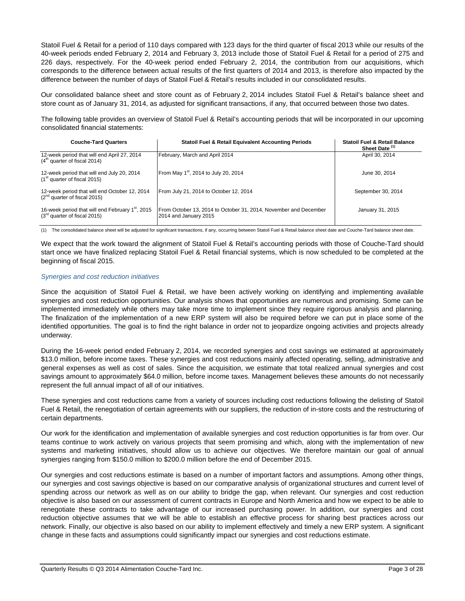Statoil Fuel & Retail for a period of 110 days compared with 123 days for the third quarter of fiscal 2013 while our results of the 40-week periods ended February 2, 2014 and February 3, 2013 include those of Statoil Fuel & Retail for a period of 275 and 226 days, respectively. For the 40-week period ended February 2, 2014, the contribution from our acquisitions, which corresponds to the difference between actual results of the first quarters of 2014 and 2013, is therefore also impacted by the difference between the number of days of Statoil Fuel & Retail's results included in our consolidated results.

Our consolidated balance sheet and store count as of February 2, 2014 includes Statoil Fuel & Retail's balance sheet and store count as of January 31, 2014, as adjusted for significant transactions, if any, that occurred between those two dates.

The following table provides an overview of Statoil Fuel & Retail's accounting periods that will be incorporated in our upcoming consolidated financial statements:

| <b>Couche-Tard Quarters</b>                                                                    | <b>Statoil Fuel &amp; Retail Equivalent Accounting Periods</b>                            | <b>Statoil Fuel &amp; Retail Balance</b><br>Sheet Date <sup>(1)</sup> |
|------------------------------------------------------------------------------------------------|-------------------------------------------------------------------------------------------|-----------------------------------------------------------------------|
| 12-week period that will end April 27, 2014<br>$(4th$ quarter of fiscal 2014)                  | February, March and April 2014                                                            | April 30, 2014                                                        |
| 12-week period that will end July 20, 2014<br>$(1st$ quarter of fiscal 2015)                   | From May 1 <sup>st</sup> , 2014 to July 20, 2014                                          | June 30, 2014                                                         |
| 12-week period that will end October 12, 2014<br>$(2nd$ quarter of fiscal 2015)                | From July 21, 2014 to October 12, 2014                                                    | September 30, 2014                                                    |
| 16-week period that will end February 1 <sup>st</sup> , 2015<br>$(3rd$ quarter of fiscal 2015) | From October 13, 2014 to October 31, 2014, November and December<br>2014 and January 2015 | January 31, 2015                                                      |

(1) The consolidated balance sheet will be adjusted for significant transactions, if any, occurring between Statoil Fuel & Retail balance sheet date and Couche-Tard balance sheet date.

We expect that the work toward the alignment of Statoil Fuel & Retail's accounting periods with those of Couche-Tard should start once we have finalized replacing Statoil Fuel & Retail financial systems, which is now scheduled to be completed at the beginning of fiscal 2015.

#### *Synergies and cost reduction initiatives*

Since the acquisition of Statoil Fuel & Retail, we have been actively working on identifying and implementing available synergies and cost reduction opportunities. Our analysis shows that opportunities are numerous and promising. Some can be implemented immediately while others may take more time to implement since they require rigorous analysis and planning. The finalization of the implementation of a new ERP system will also be required before we can put in place some of the identified opportunities. The goal is to find the right balance in order not to jeopardize ongoing activities and projects already underway.

During the 16-week period ended February 2, 2014, we recorded synergies and cost savings we estimated at approximately \$13.0 million, before income taxes. These synergies and cost reductions mainly affected operating, selling, administrative and general expenses as well as cost of sales. Since the acquisition, we estimate that total realized annual synergies and cost savings amount to approximately \$64.0 million, before income taxes. Management believes these amounts do not necessarily represent the full annual impact of all of our initiatives.

These synergies and cost reductions came from a variety of sources including cost reductions following the delisting of Statoil Fuel & Retail, the renegotiation of certain agreements with our suppliers, the reduction of in-store costs and the restructuring of certain departments.

Our work for the identification and implementation of available synergies and cost reduction opportunities is far from over. Our teams continue to work actively on various projects that seem promising and which, along with the implementation of new systems and marketing initiatives, should allow us to achieve our objectives. We therefore maintain our goal of annual synergies ranging from \$150.0 million to \$200.0 million before the end of December 2015.

Our synergies and cost reductions estimate is based on a number of important factors and assumptions. Among other things, our synergies and cost savings objective is based on our comparative analysis of organizational structures and current level of spending across our network as well as on our ability to bridge the gap, when relevant. Our synergies and cost reduction objective is also based on our assessment of current contracts in Europe and North America and how we expect to be able to renegotiate these contracts to take advantage of our increased purchasing power. In addition, our synergies and cost reduction objective assumes that we will be able to establish an effective process for sharing best practices across our network. Finally, our objective is also based on our ability to implement effectively and timely a new ERP system. A significant change in these facts and assumptions could significantly impact our synergies and cost reductions estimate.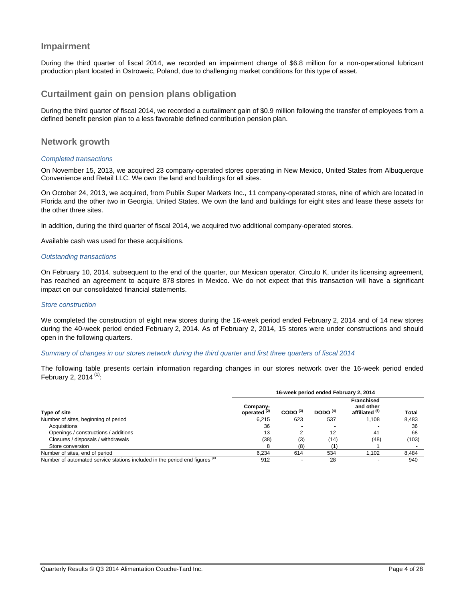### **Impairment**

During the third quarter of fiscal 2014, we recorded an impairment charge of \$6.8 million for a non-operational lubricant production plant located in Ostroweic, Poland, due to challenging market conditions for this type of asset.

### **Curtailment gain on pension plans obligation**

During the third quarter of fiscal 2014, we recorded a curtailment gain of \$0.9 million following the transfer of employees from a defined benefit pension plan to a less favorable defined contribution pension plan.

### **Network growth**

#### *Completed transactions*

On November 15, 2013, we acquired 23 company-operated stores operating in New Mexico, United States from Albuquerque Convenience and Retail LLC. We own the land and buildings for all sites.

On October 24, 2013, we acquired, from Publix Super Markets Inc., 11 company-operated stores, nine of which are located in Florida and the other two in Georgia, United States. We own the land and buildings for eight sites and lease these assets for the other three sites.

In addition, during the third quarter of fiscal 2014, we acquired two additional company-operated stores.

Available cash was used for these acquisitions.

#### *Outstanding transactions*

On February 10, 2014, subsequent to the end of the quarter, our Mexican operator, Circulo K, under its licensing agreement, has reached an agreement to acquire 878 stores in Mexico. We do not expect that this transaction will have a significant impact on our consolidated financial statements.

#### *Store construction*

We completed the construction of eight new stores during the 16-week period ended February 2, 2014 and of 14 new stores during the 40-week period ended February 2, 2014. As of February 2, 2014, 15 stores were under constructions and should open in the following quarters.

#### *Summary of changes in our stores network during the third quarter and first three quarters of fiscal 2014*

The following table presents certain information regarding changes in our stores network over the 16-week period ended February 2, 2014 $(1)$ :

|                                                                             | 16-week period ended February 2, 2014 |                     |            |                                                             |              |
|-----------------------------------------------------------------------------|---------------------------------------|---------------------|------------|-------------------------------------------------------------|--------------|
| Type of site                                                                | Company-<br>operated <sup>(2)</sup>   | $\text{CODO}^{(3)}$ | DODO $(4)$ | <b>Franchised</b><br>and other<br>affiliated <sup>(5)</sup> | <b>Total</b> |
| Number of sites, beginning of period                                        | 6.215                                 | 623                 | 537        | 1.108                                                       | 8,483        |
| Acquisitions                                                                | 36                                    |                     | -          |                                                             | 36           |
| Openings / constructions / additions                                        | 13                                    |                     | 12         | 41                                                          | 68           |
| Closures / disposals / withdrawals                                          | (38)                                  | (3)                 | (14)       | (48)                                                        | (103)        |
| Store conversion                                                            |                                       | (8)                 |            |                                                             |              |
| Number of sites, end of period                                              | 6.234                                 | 614                 | 534        | 1.102                                                       | 8,484        |
| Number of automated service stations included in the period end figures (6) | 912                                   |                     | 28         |                                                             | 940          |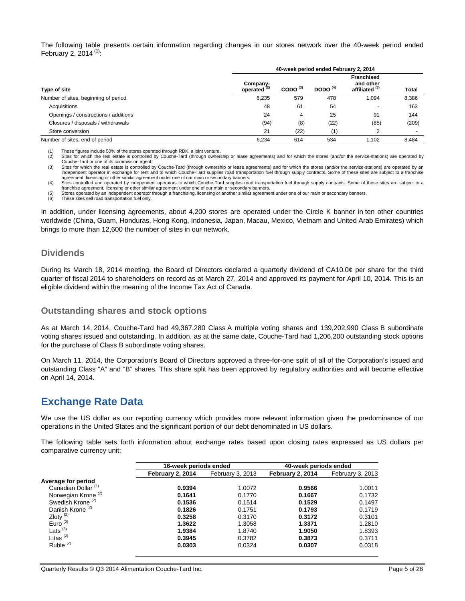The following table presents certain information regarding changes in our stores network over the 40-week period ended February 2, 2014 $(1)$ :

|                                      |                            | 40-week period ended February 2, 2014 |            |                                                             |              |  |  |  |
|--------------------------------------|----------------------------|---------------------------------------|------------|-------------------------------------------------------------|--------------|--|--|--|
| Type of site                         | Company-<br>operated $(2)$ | $\text{CODO}^{(3)}$                   | DODO $(4)$ | <b>Franchised</b><br>and other<br>affiliated <sup>(5)</sup> | <b>Total</b> |  |  |  |
| Number of sites, beginning of period | 6,235                      | 579                                   | 478        | 1.094                                                       | 8,386        |  |  |  |
| Acquisitions                         | 48                         | 61                                    | 54         |                                                             | 163          |  |  |  |
| Openings / constructions / additions | 24                         | 4                                     | 25         | 91                                                          | 144          |  |  |  |
| Closures / disposals / withdrawals   | (94)                       | (8)                                   | (22)       | (85)                                                        | (209)        |  |  |  |
| Store conversion                     | 21                         | (22)                                  | (1)        | 2                                                           |              |  |  |  |
| Number of sites, end of period       | 6.234                      | 614                                   | 534        | 1.102                                                       | 8.484        |  |  |  |

(1) These figures include 50% of the stores operated through RDK, a joint venture.

Sites for which the real estate is controlled by Couche-Tard (through ownership or lease agreements) and for which the stores (and/or the service-stations) are operated by Couche-Tard or one of its commission agent. Sites for which the real estate is controlled by Couche-Tard (through ownership or lease agreements) and for which the stores (and/or the service-stations) are operated by an

independent operator in exchange for rent and to which Couche-Tard supplies road transportation fuel through supply contracts. Some of these sites are subject to a franchise agreement, licensing or other similar agreement under one of our main or secondary banners.<br>(4) Sites controlled and operated by independent operators to which Couche-Tard supplies road transportation fuel through supply c

franchise agreement, licensing or other similar agreement under one of our main or secondary banners.

(5) Stores operated by an independent operator through a franchising, licensing or another similar agreement under one of our main or secondary banners.

(6) These sites sell road transportation fuel only.

In addition, under licensing agreements, about 4,200 stores are operated under the Circle K banner in ten other countries worldwide (China, Guam, Honduras, Hong Kong, Indonesia, Japan, Macau, Mexico, Vietnam and United Arab Emirates) which brings to more than 12,600 the number of sites in our network.

### **Dividends**

During its March 18, 2014 meeting, the Board of Directors declared a quarterly dividend of CA10.0¢ per share for the third quarter of fiscal 2014 to shareholders on record as at March 27, 2014 and approved its payment for April 10, 2014. This is an eligible dividend within the meaning of the Income Tax Act of Canada.

### **Outstanding shares and stock options**

As at March 14, 2014, Couche-Tard had 49,367,280 Class A multiple voting shares and 139,202,990 Class B subordinate voting shares issued and outstanding. In addition, as at the same date, Couche-Tard had 1,206,200 outstanding stock options for the purchase of Class B subordinate voting shares.

On March 11, 2014, the Corporation's Board of Directors approved a three-for-one split of all of the Corporation's issued and outstanding Class "A" and "B" shares. This share split has been approved by regulatory authorities and will become effective on April 14, 2014.

# **Exchange Rate Data**

We use the US dollar as our reporting currency which provides more relevant information given the predominance of our operations in the United States and the significant portion of our debt denominated in US dollars.

The following table sets forth information about exchange rates based upon closing rates expressed as US dollars per comparative currency unit:

|                                | 16-week periods ended |                  | 40-week periods ended |                  |
|--------------------------------|-----------------------|------------------|-----------------------|------------------|
|                                | February 2, 2014      | February 3, 2013 | February 2, 2014      | February 3, 2013 |
| Average for period             |                       |                  |                       |                  |
| Canadian Dollar <sup>(1)</sup> | 0.9394                | 1.0072           | 0.9566                | 1.0011           |
| Norwegian Krone <sup>(2)</sup> | 0.1641                | 0.1770           | 0.1667                | 0.1732           |
| Swedish Krone <sup>(2)</sup>   | 0.1536                | 0.1514           | 0.1529                | 0.1497           |
| Danish Krone <sup>(2)</sup>    | 0.1826                | 0.1751           | 0.1793                | 0.1719           |
| Zloty $\frac{2}{2}$            | 0.3258                | 0.3170           | 0.3172                | 0.3101           |
| Euro $(2)$                     | 1.3622                | 1.3058           | 1.3371                | 1.2810           |
| Lats $(3)$                     | 1.9384                | 1.8740           | 1.9050                | 1.8393           |
| Litas $(2)$                    | 0.3945                | 0.3782           | 0.3873                | 0.3711           |
| Ruble $(2)$                    | 0.0303                | 0.0324           | 0.0307                | 0.0318           |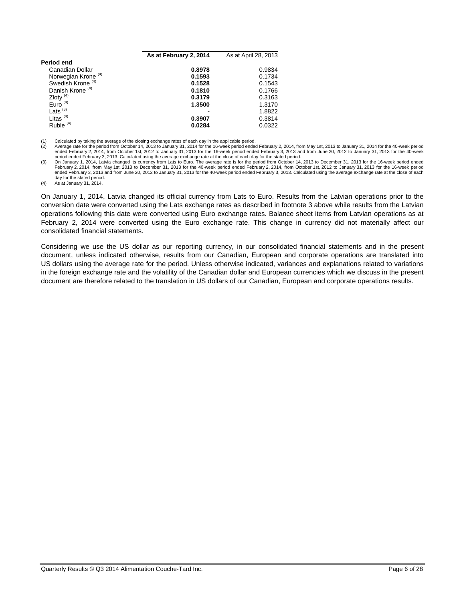|                                | As at February 2, 2014   | As at April 28, 2013 |
|--------------------------------|--------------------------|----------------------|
| Period end                     |                          |                      |
| Canadian Dollar                | 0.8978                   | 0.9834               |
| Norwegian Krone <sup>(4)</sup> | 0.1593                   | 0.1734               |
| Swedish Krone <sup>(4)</sup>   | 0.1528                   | 0.1543               |
| Danish Krone <sup>(4)</sup>    | 0.1810                   | 0.1766               |
| Zloty $(4)$                    | 0.3179                   | 0.3163               |
| Euro $(4)$                     | 1.3500                   | 1.3170               |
| Lats $(3)$                     | $\overline{\phantom{0}}$ | 1.8822               |
| Litas $(4)$                    | 0.3907                   | 0.3814               |
| Ruble <sup>(4)</sup>           | 0.0284                   | 0.0322               |
|                                |                          |                      |

(1) Calculated by taking the average of the closing exchange rates of each day in the applicable period.<br>(2) Average rate for the period from October 14, 2013 to January 31, 2014 for the 16-week period ended February 2, 20 ended February 2, 2014, from October 1st, 2012 to January 31, 2013 for the 16-week period ended February 3, 2013 and from June 20, 2012 to January 31, 2013 for the 40-week

period ended February 3, 2013. Calculated using the average exchange rate at the close of each day for the stated period.<br>(3) On January 1, 2014, Latvia changed its currency from Lats to Euro. The average rate is for the p February 2, 2014, from May 1st, 2013 to December 31, 2013 for the 40-week period ended February 2, 2014, from October 1st, 2012 to January 31, 2013 for the 16-week period<br>ended February 3, 2013 and from June 20, 2012 to Ja day for the stated period.

(4) As at January 31, 2014.

On January 1, 2014, Latvia changed its official currency from Lats to Euro. Results from the Latvian operations prior to the conversion date were converted using the Lats exchange rates as described in footnote 3 above while results from the Latvian operations following this date were converted using Euro exchange rates. Balance sheet items from Latvian operations as at February 2, 2014 were converted using the Euro exchange rate. This change in currency did not materially affect our consolidated financial statements.

Considering we use the US dollar as our reporting currency, in our consolidated financial statements and in the present document, unless indicated otherwise, results from our Canadian, European and corporate operations are translated into US dollars using the average rate for the period. Unless otherwise indicated, variances and explanations related to variations in the foreign exchange rate and the volatility of the Canadian dollar and European currencies which we discuss in the present document are therefore related to the translation in US dollars of our Canadian, European and corporate operations results.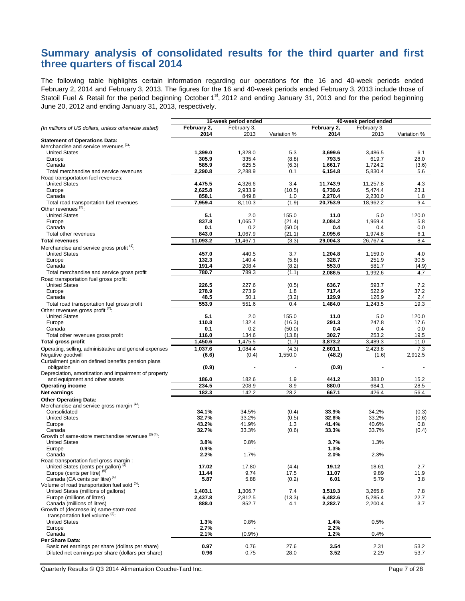# **Summary analysis of consolidated results for the third quarter and first three quarters of fiscal 2014**

The following table highlights certain information regarding our operations for the 16 and 40-week periods ended February 2, 2014 and February 3, 2013. The figures for the 16 and 40-week periods ended February 3, 2013 include those of Statoil Fuel & Retail for the period beginning October 1<sup>st</sup>, 2012 and ending January 31, 2013 and for the period beginning June 20, 2012 and ending January 31, 2013, respectively.

|                                                                               | 16-week period ended |                |              | 40-week period ended |                  |             |
|-------------------------------------------------------------------------------|----------------------|----------------|--------------|----------------------|------------------|-------------|
| (In millions of US dollars, unless otherwise stated)                          | February 2,          | February 3,    |              | February 2,          | February 3,      |             |
|                                                                               | 2014                 | 2013           | Variation %  | 2014                 | 2013             | Variation % |
| <b>Statement of Operations Data:</b><br>Merchandise and service revenues (1): |                      |                |              |                      |                  |             |
| <b>United States</b>                                                          | 1,399.0              | 1,328.0        | 5.3          | 3,699.6              | 3,486.5          | 6.1         |
| Europe                                                                        | 305.9                | 335.4          | (8.8)        | 793.5                | 619.7            | 28.0        |
| Canada                                                                        | 585.9                | 625.5          | (6.3)        | 1,661.7              | 1,724.2          | (3.6)       |
| Total merchandise and service revenues                                        | 2,290.8              | 2,288.9        | 0.1          | 6,154.8              | 5,830.4          | 5.6         |
| Road transportation fuel revenues:                                            |                      |                |              |                      |                  |             |
| <b>United States</b>                                                          | 4,475.5              | 4,326.6        | 3.4          | 11,743.9             | 11,257.8         | 4.3         |
| Europe                                                                        | 2,625.8              | 2,933.9        | (10.5)       | 6,739.6              | 5,474.4          | 23.1        |
| Canada                                                                        | 858.1                | 849.8          | 1.0          | 2,270.4              | 2,230.0          | 1.8         |
| Total road transportation fuel revenues                                       | 7,959.4              | 8,110.3        | (1.9)        | 20,753.9             | 18,962.2         | 9.4         |
| Other revenues <sup>(2)</sup> :                                               |                      |                |              |                      |                  |             |
| <b>United States</b>                                                          | 5.1                  | 2.0            | 155.0        | 11.0                 | 5.0              | 120.0       |
| Europe                                                                        | 837.8                | 1,065.7        | (21.4)       | 2.084.2              | 1,969.4          | 5.8         |
| Canada                                                                        | 0.1                  | 0.2            | (50.0)       | 0.4                  | 0.4              | 0.0         |
| Total other revenues                                                          | 843.0                | 1,067.9        | (21.1)       | 2,095.6              | 1,974.8          | 6.1         |
| <b>Total revenues</b>                                                         | 11,093.2             | 11,467.1       | (3.3)        | 29,004.3             | 26,767.4         | 8.4         |
| Merchandise and service gross profit <sup>(1)</sup> :                         | 457.0                |                |              |                      |                  |             |
| <b>United States</b><br>Europe                                                | 132.3                | 440.5<br>140.4 | 3.7<br>(5.8) | 1,204.8<br>328.7     | 1,159.0<br>251.9 | 4.0<br>30.5 |
| Canada                                                                        | 191.4                | 208.4          | (8.2)        | 553.0                | 581.7            | (4.9)       |
| Total merchandise and service gross profit                                    | 780.7                | 789.3          | (1.1)        | 2,086.5              | 1,992.6          | 4.7         |
| Road transportation fuel gross profit:                                        |                      |                |              |                      |                  |             |
| <b>United States</b>                                                          | 226.5                | 227.6          | (0.5)        | 636.7                | 593.7            | 7.2         |
| Europe                                                                        | 278.9                | 273.9          | 1.8          | 717.4                | 522.9            | 37.2        |
| Canada                                                                        | 48.5                 | 50.1           | (3.2)        | 129.9                | 126.9            | 2.4         |
| Total road transportation fuel gross profit                                   | 553.9                | 551.6          | 0.4          | 1,484.0              | 1,243.5          | 19.3        |
| Other revenues gross profit (2):                                              |                      |                |              |                      |                  |             |
| <b>United States</b>                                                          | 5.1                  | 2.0            | 155.0        | 11.0                 | 5.0              | 120.0       |
| Europe                                                                        | 110.8                | 132.4          | (16.3)       | 291.3                | 247.8            | 17.6        |
| Canada                                                                        | 0.1                  | 0.2            | (50.0)       | 0.4                  | 0.4              | 0.0         |
| Total other revenues gross profit                                             | 116.0                | 134.6          | (13.8)       | 302.7                | 253.2            | 19.5        |
| <b>Total gross profit</b>                                                     | 1,450.6              | 1,475.5        | (1.7)        | 3,873.2              | 3,489.3          | 11.0        |
| Operating, selling, administrative and general expenses                       | 1,037.6              | 1,084.4        | (4.3)        | 2,601.1              | 2,423.8          | 7.3         |
| Negative goodwill<br>Curtailment gain on defined benefits pension plans       | (6.6)                | (0.4)          | 1,550.0      | (48.2)               | (1.6)            | 2,912.5     |
| obligation                                                                    | (0.9)                |                |              | (0.9)                |                  |             |
| Depreciation, amortization and impairment of property                         |                      |                |              |                      |                  |             |
| and equipment and other assets                                                | 186.0                | 182.6          | 1.9          | 441.2                | 383.0            | 15.2        |
| <b>Operating income</b>                                                       | 234.5                | 208.9          | 8.9          | 880.0                | 684.1            | 28.5        |
| Net earnings                                                                  | 182.3                | 142.2          | 28.2         | 667.1                | 426.4            | 56.4        |
| <b>Other Operating Data:</b>                                                  |                      |                |              |                      |                  |             |
| Merchandise and service gross margin (1):                                     |                      |                |              |                      |                  |             |
| Consolidated                                                                  | 34.1%                | 34.5%          | (0.4)        | 33.9%                | 34.2%            | (0.3)       |
| <b>United States</b>                                                          | 32.7%                | 33.2%          | (0.5)        | 32.6%                | 33.2%            | (0.6)       |
| Europe                                                                        | 43.2%                | 41.9%          | 1.3          | 41.4%                | 40.6%            | 0.8         |
| Canada                                                                        | 32.7%                | 33.3%          | (0.6)        | 33.3%                | 33.7%            | (0.4)       |
| Growth of same-store merchandise revenues (3) (4).                            |                      |                |              |                      |                  |             |
| <b>United States</b><br>Europe                                                | 3.8%<br>0.9%         | 0.8%           |              | 3.7%<br>1.3%         | 1.3%             |             |
| Canada                                                                        | 2.2%                 | 1.7%           |              | 2.0%                 | 2.3%             |             |
| Road transportation fuel gross margin :                                       |                      |                |              |                      |                  |             |
| United States (cents per gallon) <sup>(4</sup>                                | 17.02                | 17.80          | (4.4)        | 19.12                | 18.61            | 2.7         |
| Europe (cents per litre) <sup>(5)</sup>                                       | 11.44                | 9.74           | 17.5         | 11.07                | 9.89             | 11.9        |
| Canada (CA cents per litre) <sup>(4)</sup>                                    | 5.87                 | 5.88           | (0.2)        | 6.01                 | 5.79             | 3.8         |
| Volume of road transportation fuel sold (5):                                  |                      |                |              |                      |                  |             |
| United States (millions of gallons)                                           | 1,403.1              | 1,306.7        | 7.4          | 3,519.3              | 3,265.8          | 7.8         |
| Europe (millions of litres)                                                   | 2,437.8              | 2,812.5        | (13.3)       | 6,482.6              | 5,285.4          | 22.7        |
| Canada (millions of litres)                                                   | 888.0                | 852.7          | 4.1          | 2,282.7              | 2,200.4          | 3.7         |
| Growth of (decrease in) same-store road<br>transportation fuel volume (4).    |                      |                |              |                      |                  |             |
| <b>United States</b>                                                          | 1.3%                 | 0.8%           |              | 1.4%                 | 0.5%             |             |
| Europe                                                                        | 2.7%                 |                |              | 2.2%                 |                  |             |
| Canada                                                                        | 2.1%                 | (0.9%          |              | 1.2%                 | 0.4%             |             |
| Per Share Data:                                                               |                      |                |              |                      |                  |             |
| Basic net earnings per share (dollars per share)                              | 0.97                 | 0.76           | 27.6         | 3.54                 | 2.31             | 53.2        |
| Diluted net earnings per share (dollars per share)                            | 0.96                 | 0.75           | 28.0         | 3.52                 | 2.29             | 53.7        |
|                                                                               |                      |                |              |                      |                  |             |

Quarterly Results © Q3 2014 Alimentation Couche-Tard Inc. **Page 7** of 28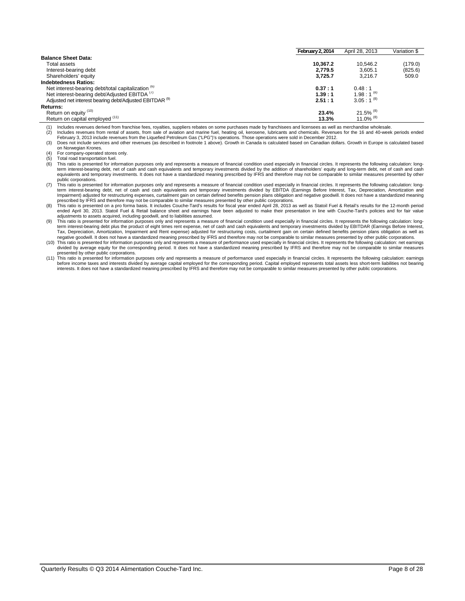|                                                                    | February 2, 2014 | April 28, 2013          | Variation \$ |
|--------------------------------------------------------------------|------------------|-------------------------|--------------|
| <b>Balance Sheet Data:</b>                                         |                  |                         |              |
| Total assets                                                       | 10.367.2         | 10.546.2                | (179.0)      |
| Interest-bearing debt                                              | 2.779.5          | 3.605.1                 | (825.6)      |
| Shareholders' equity                                               | 3.725.7          | 3.216.7                 | 509.0        |
| <b>Indebtedness Ratios:</b>                                        |                  |                         |              |
| Net interest-bearing debt/total capitalization (6)                 | 0.37:1           | 0.48:1                  |              |
| Net interest-bearing debt/Adjusted EBITDA <sup>(1)</sup>           | 1.39:1           | $1.98:1^{(8)}$          |              |
| Adjusted net interest bearing debt/Adjusted EBITDAR <sup>(9)</sup> | 2.51:1           | $3.05:1^{(8)}$          |              |
| <b>Returns:</b>                                                    |                  |                         |              |
| Return on equity (10)                                              | 23.4%            | $21.5\%$ <sup>(8)</sup> |              |
| Return on capital employed (11)                                    | 13.3%            | 11.0% $^{(8)}$          |              |

(1) Includes revenues derived from franchise fees, royalties, suppliers rebates on some purchases made by franchisees and licensees as well as merchandise wholesale.

(2) Includes revenues from rental of assets, from sale of aviation and marine fuel, heating oil, kerosene, lubricants and chemicals. Revenues for the 16 and 40-week periods ended

February 3, 2013 include revenues from the Liquefied Petroleum Gas ("LPG")'s operations. Those operations were sold in December 2012.

(3) Does not include services and other revenues (as described in footnote 1 above). Growth in Canada is calculated based on Canadian dollars. Growth in Europe is calculated based on Norwegian Krones.

(4) For company-operated stores only.

(5) Total road transportation fuel.<br>(6) This ratio is presented for info -6) This ratio is presented for information purposes only and represents a measure of financial condition used especially in financial circles. It represents the following calculation: long-<br>term interest-bearing presented public corporations.

(7) This ratio is presented for information purposes only and represents a measure of financial condition used especially in financial circles. It represents the following calculation: longterm interest-bearing debt, net of cash and cash equivalents and temporary investments divided by EBITDA (Earnings Before Interest, Tax, Depreciation, Amortization and Impairment) adjusted for restructuring expenses, curtailment gain on certain defined benefits pension plans obligation and negative goodwill. It does not have a standardized meaning prescribed by IFRS and therefore may not be comparable to similar measures presented by other public corporations.

(8) This ratio is presented on a pro forma basis. It includes Couche-Tard's results for fiscal year ended April 28, 2013 as well as Statoil Fuel & Retail's results for the 12-month period ended April 30, 2013. Statoil Fuel & Retail balance sheet and earnings have been adjusted to make their presentation in line with Couche-Tard's policies and for fair value adjustments to assets acquired, including goodwill, and to liabilities assumed.

-9) This ratio is presented for information purposes only and represents a measure of financial condition used especially in financial circles. It represents the following calculation: long-<br>term interest-bearing debt plus Tax, Depreciation, Amortization, Impairment and Rent expense) adjusted for restructuring costs, curtailment gain on certain defined benefits pension plans obligation as well as

negative goodwill. It does not have a standardized meaning prescribed by IFRS and therefore may not be comparable to similar measures presented by other public corporations.<br>(10) This ratio is presented for information pur divided by average equity for the corresponding period. It does not have a standardized meaning prescribed by IFRS and therefore may not be comparable to similar measures presented by other public corporations.

(11) This ratio is presented for information purposes only and represents a measure of performance used especially in financial circles. It represents the following calculation: earnings before income taxes and interests divided by average capital employed for the corresponding period. Capital employed represents total assets less short-term liabilities not bearing<br>interests. It does not have a standardize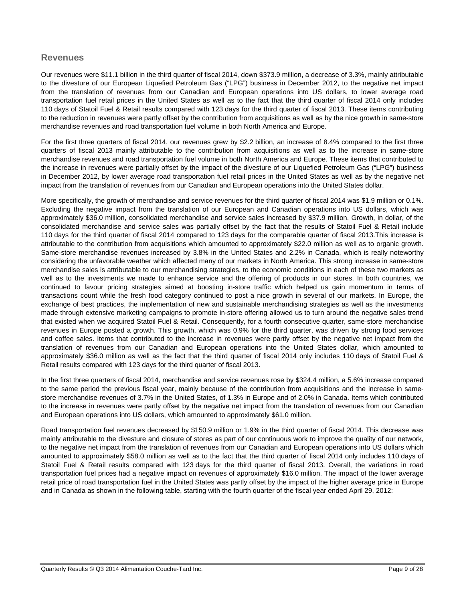### **Revenues**

Our revenues were \$11.1 billion in the third quarter of fiscal 2014, down \$373.9 million, a decrease of 3.3%, mainly attributable to the divesture of our European Liquefied Petroleum Gas ("LPG") business in December 2012, to the negative net impact from the translation of revenues from our Canadian and European operations into US dollars, to lower average road transportation fuel retail prices in the United States as well as to the fact that the third quarter of fiscal 2014 only includes 110 days of Statoil Fuel & Retail results compared with 123 days for the third quarter of fiscal 2013. These items contributing to the reduction in revenues were partly offset by the contribution from acquisitions as well as by the nice growth in same-store merchandise revenues and road transportation fuel volume in both North America and Europe.

For the first three quarters of fiscal 2014, our revenues grew by \$2.2 billion, an increase of 8.4% compared to the first three quarters of fiscal 2013 mainly attributable to the contribution from acquisitions as well as to the increase in same-store merchandise revenues and road transportation fuel volume in both North America and Europe. These items that contributed to the increase in revenues were partially offset by the impact of the divesture of our Liquefied Petroleum Gas ("LPG") business in December 2012, by lower average road transportation fuel retail prices in the United States as well as by the negative net impact from the translation of revenues from our Canadian and European operations into the United States dollar.

More specifically, the growth of merchandise and service revenues for the third quarter of fiscal 2014 was \$1.9 million or 0.1%. Excluding the negative impact from the translation of our European and Canadian operations into US dollars, which was approximately \$36.0 million, consolidated merchandise and service sales increased by \$37.9 million. Growth, in dollar, of the consolidated merchandise and service sales was partially offset by the fact that the results of Statoil Fuel & Retail include 110 days for the third quarter of fiscal 2014 compared to 123 days for the comparable quarter of fiscal 2013.This increase is attributable to the contribution from acquisitions which amounted to approximately \$22.0 million as well as to organic growth. Same-store merchandise revenues increased by 3.8% in the United States and 2.2% in Canada, which is really noteworthy considering the unfavorable weather which affected many of our markets in North America. This strong increase in same-store merchandise sales is attributable to our merchandising strategies, to the economic conditions in each of these two markets as well as to the investments we made to enhance service and the offering of products in our stores. In both countries, we continued to favour pricing strategies aimed at boosting in-store traffic which helped us gain momentum in terms of transactions count while the fresh food category continued to post a nice growth in several of our markets. In Europe, the exchange of best practices, the implementation of new and sustainable merchandising strategies as well as the investments made through extensive marketing campaigns to promote in-store offering allowed us to turn around the negative sales trend that existed when we acquired Statoil Fuel & Retail. Consequently, for a fourth consecutive quarter, same-store merchandise revenues in Europe posted a growth. This growth, which was 0.9% for the third quarter, was driven by strong food services and coffee sales. Items that contributed to the increase in revenues were partly offset by the negative net impact from the translation of revenues from our Canadian and European operations into the United States dollar, which amounted to approximately \$36.0 million as well as the fact that the third quarter of fiscal 2014 only includes 110 days of Statoil Fuel & Retail results compared with 123 days for the third quarter of fiscal 2013.

In the first three quarters of fiscal 2014, merchandise and service revenues rose by \$324.4 million, a 5.6% increase compared to the same period the previous fiscal year, mainly because of the contribution from acquisitions and the increase in samestore merchandise revenues of 3.7% in the United States, of 1.3% in Europe and of 2.0% in Canada. Items which contributed to the increase in revenues were partly offset by the negative net impact from the translation of revenues from our Canadian and European operations into US dollars, which amounted to approximately \$61.0 million.

Road transportation fuel revenues decreased by \$150.9 million or 1.9% in the third quarter of fiscal 2014. This decrease was mainly attributable to the divesture and closure of stores as part of our continuous work to improve the quality of our network, to the negative net impact from the translation of revenues from our Canadian and European operations into US dollars which amounted to approximately \$58.0 million as well as to the fact that the third quarter of fiscal 2014 only includes 110 days of Statoil Fuel & Retail results compared with 123 days for the third quarter of fiscal 2013. Overall, the variations in road transportation fuel prices had a negative impact on revenues of approximately \$16.0 million. The impact of the lower average retail price of road transportation fuel in the United States was partly offset by the impact of the higher average price in Europe and in Canada as shown in the following table, starting with the fourth quarter of the fiscal year ended April 29, 2012: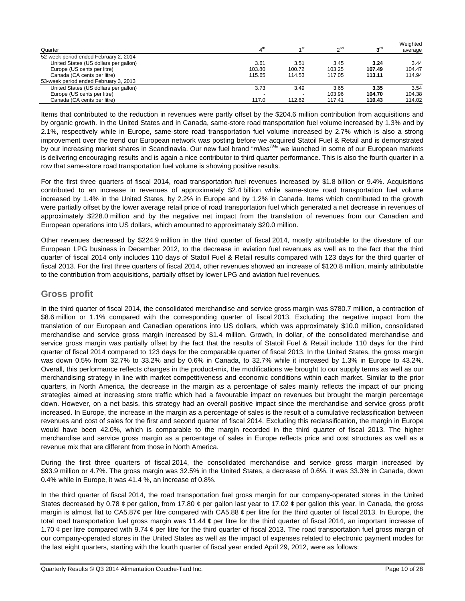| Quarter                               | $\boldsymbol{\Lambda}^\textsf{th}$ | ⊿st    | $\gamma$ <sup>nd</sup> | rd و   | Weighted<br>average |
|---------------------------------------|------------------------------------|--------|------------------------|--------|---------------------|
| 52-week period ended February 2, 2014 |                                    |        |                        |        |                     |
| United States (US dollars per gallon) | 3.61                               | 3.51   | 3.45                   | 3.24   | 3.44                |
| Europe (US cents per litre)           | 103.80                             | 100.72 | 103.25                 | 107.49 | 104.47              |
| Canada (CA cents per litre)           | 115.65                             | 114.53 | 117.05                 | 113.11 | 114.94              |
| 53-week period ended February 3, 2013 |                                    |        |                        |        |                     |
| United States (US dollars per gallon) | 3.73                               | 3.49   | 3.65                   | 3.35   | 3.54                |
| Europe (US cents per litre)           |                                    |        | 103.96                 | 104.70 | 104.38              |
| Canada (CA cents per litre)           | 117.0                              | 112.62 | 117.41                 | 110.43 | 114.02              |

Items that contributed to the reduction in revenues were partly offset by the \$204.6 million contribution from acquisitions and by organic growth. In the United States and in Canada, same-store road transportation fuel volume increased by 1.3% and by 2.1%, respectively while in Europe, same-store road transportation fuel volume increased by 2.7% which is also a strong improvement over the trend our European network was posting before we acquired Statoil Fuel & Retail and is demonstrated by our increasing market shares in Scandinavia. Our new fuel brand "*milesTM*" we launched in some of our European markets is delivering encouraging results and is again a nice contributor to third quarter performance. This is also the fourth quarter in a row that same-store road transportation fuel volume is showing positive results.

For the first three quarters of fiscal 2014, road transportation fuel revenues increased by \$1.8 billion or 9.4%. Acquisitions contributed to an increase in revenues of approximately \$2.4 billion while same-store road transportation fuel volume increased by 1.4% in the United States, by 2.2% in Europe and by 1.2% in Canada. Items which contributed to the growth were partially offset by the lower average retail price of road transportation fuel which generated a net decrease in revenues of approximately \$228.0 million and by the negative net impact from the translation of revenues from our Canadian and European operations into US dollars, which amounted to approximately \$20.0 million.

Other revenues decreased by \$224.9 million in the third quarter of fiscal 2014, mostly attributable to the divesture of our European LPG business in December 2012, to the decrease in aviation fuel revenues as well as to the fact that the third quarter of fiscal 2014 only includes 110 days of Statoil Fuel & Retail results compared with 123 days for the third quarter of fiscal 2013. For the first three quarters of fiscal 2014, other revenues showed an increase of \$120.8 million, mainly attributable to the contribution from acquisitions, partially offset by lower LPG and aviation fuel revenues.

### **Gross profit**

In the third quarter of fiscal 2014, the consolidated merchandise and service gross margin was \$780.7 million, a contraction of \$8.6 million or 1.1% compared with the corresponding quarter of fiscal 2013. Excluding the negative impact from the translation of our European and Canadian operations into US dollars, which was approximately \$10.0 million, consolidated merchandise and service gross margin increased by \$1.4 million. Growth, in dollar, of the consolidated merchandise and service gross margin was partially offset by the fact that the results of Statoil Fuel & Retail include 110 days for the third quarter of fiscal 2014 compared to 123 days for the comparable quarter of fiscal 2013. In the United States, the gross margin was down 0.5% from 32.7% to 33.2% and by 0.6% in Canada, to 32.7% while it increased by 1.3% in Europe to 43.2%. Overall, this performance reflects changes in the product-mix, the modifications we brought to our supply terms as well as our merchandising strategy in line with market competitiveness and economic conditions within each market. Similar to the prior quarters, in North America, the decrease in the margin as a percentage of sales mainly reflects the impact of our pricing strategies aimed at increasing store traffic which had a favourable impact on revenues but brought the margin percentage down. However, on a net basis, this strategy had an overall positive impact since the merchandise and service gross profit increased. In Europe, the increase in the margin as a percentage of sales is the result of a cumulative reclassification between revenues and cost of sales for the first and second quarter of fiscal 2014. Excluding this reclassification, the margin in Europe would have been 42.0%, which is comparable to the margin recorded in the third quarter of fiscal 2013. The higher merchandise and service gross margin as a percentage of sales in Europe reflects price and cost structures as well as a revenue mix that are different from those in North America.

During the first three quarters of fiscal 2014, the consolidated merchandise and service gross margin increased by \$93.9 million or 4.7%. The gross margin was 32.5% in the United States, a decrease of 0.6%, it was 33.3% in Canada, down 0.4% while in Europe, it was 41.4 %, an increase of 0.8%.

In the third quarter of fiscal 2014, the road transportation fuel gross margin for our company-operated stores in the United States decreased by 0.78  $\phi$  per gallon, from 17.80  $\phi$  per gallon last year to 17.02  $\phi$  per gallon this year. In Canada, the gross margin is almost flat to CA5.87¢ per litre compared with CA5.88 ¢ per litre for the third quarter of fiscal 2013. In Europe, the total road transportation fuel gross margin was 11.44 ¢ per litre for the third quarter of fiscal 2014, an important increase of 1.70  $\ell$  per litre compared with 9.74  $\ell$  per litre for the third quarter of fiscal 2013. The road transportation fuel gross margin of our company-operated stores in the United States as well as the impact of expenses related to electronic payment modes for the last eight quarters, starting with the fourth quarter of fiscal year ended April 29, 2012, were as follows: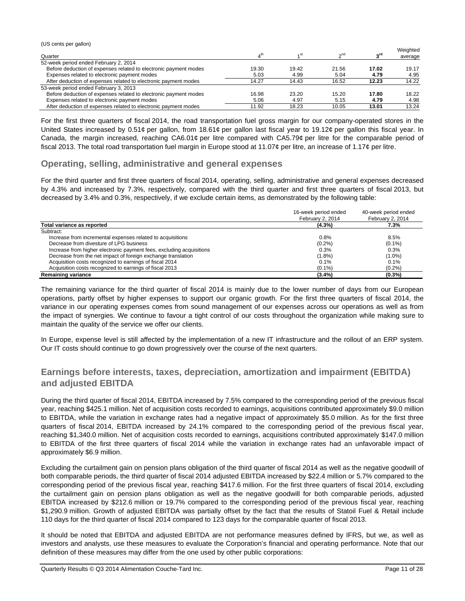(US cents per gallon)

|                                                                  |       |       |           |                 | Weighted |
|------------------------------------------------------------------|-------|-------|-----------|-----------------|----------|
| Quarter                                                          |       |       | $\sim$ nd | 3 <sup>rd</sup> | average  |
| 52-week period ended February 2, 2014                            |       |       |           |                 |          |
| Before deduction of expenses related to electronic payment modes | 19.30 | 19.42 | 21.56     | 17.02           | 19.17    |
| Expenses related to electronic payment modes                     | 5.03  | 4.99  | 5.04      | 4.79            | 4.95     |
| After deduction of expenses related to electronic payment modes  | 14.27 | 14.43 | 16.52     | 12.23           | 14.22    |
| 53-week period ended February 3, 2013                            |       |       |           |                 |          |
| Before deduction of expenses related to electronic payment modes | 16.98 | 23.20 | 15.20     | 17.80           | 18.22    |
| Expenses related to electronic payment modes                     | 5.06  | 4.97  | 5.15      | 4.79            | 4.98     |
| After deduction of expenses related to electronic payment modes  | 11.92 | 18.23 | 10.05     | 13.01           | 13.24    |

For the first three quarters of fiscal 2014, the road transportation fuel gross margin for our company-operated stores in the United States increased by 0.51¢ per gallon, from 18.61¢ per gallon last fiscal year to 19.12¢ per gallon this fiscal year. In Canada, the margin increased, reaching CA6.01¢ per litre compared with CA5.79¢ per litre for the comparable period of fiscal 2013. The total road transportation fuel margin in Europe stood at 11.07¢ per litre, an increase of 1.17¢ per litre.

### **Operating, selling, administrative and general expenses**

For the third quarter and first three quarters of fiscal 2014, operating, selling, administrative and general expenses decreased by 4.3% and increased by 7.3%, respectively, compared with the third quarter and first three quarters of fiscal 2013, but decreased by 3.4% and 0.3%, respectively, if we exclude certain items, as demonstrated by the following table:

|                                                                      | 16-week period ended<br>February 2, 2014 | 40-week period ended<br>February 2, 2014 |
|----------------------------------------------------------------------|------------------------------------------|------------------------------------------|
| Total variance as reported                                           | $(4.3\%)$                                | 7.3%                                     |
| Subtract:                                                            |                                          |                                          |
| Increase from incremental expenses related to acquisitions           | 0.8%                                     | 8.5%                                     |
| Decrease from divesture of LPG business                              | (0.2%                                    | $(0.1\%)$                                |
| Increase from higher electronic payment fees, excluding acquisitions | 0.3%                                     | 0.3%                                     |
| Decrease from the net impact of foreign exchange translation         | $(1.8\%)$                                | $(1.0\%)$                                |
| Acquisition costs recognized to earnings of fiscal 2014              | 0.1%                                     | 0.1%                                     |
| Acquisition costs recognized to earnings of fiscal 2013              | $(0.1\%)$                                | (0.2%                                    |
| <b>Remaining variance</b>                                            | $(3.4\%)$                                | $(0.3\%)$                                |

The remaining variance for the third quarter of fiscal 2014 is mainly due to the lower number of days from our European operations, partly offset by higher expenses to support our organic growth. For the first three quarters of fiscal 2014, the variance in our operating expenses comes from sound management of our expenses across our operations as well as from the impact of synergies. We continue to favour a tight control of our costs throughout the organization while making sure to maintain the quality of the service we offer our clients.

In Europe, expense level is still affected by the implementation of a new IT infrastructure and the rollout of an ERP system. Our IT costs should continue to go down progressively over the course of the next quarters.

### **Earnings before interests, taxes, depreciation, amortization and impairment (EBITDA) and adjusted EBITDA**

During the third quarter of fiscal 2014, EBITDA increased by 7.5% compared to the corresponding period of the previous fiscal year, reaching \$425.1 million. Net of acquisition costs recorded to earnings, acquisitions contributed approximately \$9.0 million to EBITDA, while the variation in exchange rates had a negative impact of approximately \$5.0 million. As for the first three quarters of fiscal 2014, EBITDA increased by 24.1% compared to the corresponding period of the previous fiscal year, reaching \$1,340.0 million. Net of acquisition costs recorded to earnings, acquisitions contributed approximately \$147.0 million to EBITDA of the first three quarters of fiscal 2014 while the variation in exchange rates had an unfavorable impact of approximately \$6.9 million.

Excluding the curtailment gain on pension plans obligation of the third quarter of fiscal 2014 as well as the negative goodwill of both comparable periods, the third quarter of fiscal 2014 adjusted EBITDA increased by \$22.4 million or 5.7% compared to the corresponding period of the previous fiscal year, reaching \$417.6 million. For the first three quarters of fiscal 2014, excluding the curtailment gain on pension plans obligation as well as the negative goodwill for both comparable periods, adjusted EBITDA increased by \$212.6 million or 19.7% compared to the corresponding period of the previous fiscal year, reaching \$1,290.9 million. Growth of adjusted EBITDA was partially offset by the fact that the results of Statoil Fuel & Retail include 110 days for the third quarter of fiscal 2014 compared to 123 days for the comparable quarter of fiscal 2013.

It should be noted that EBITDA and adjusted EBITDA are not performance measures defined by IFRS, but we, as well as investors and analysts, use these measures to evaluate the Corporation's financial and operating performance. Note that our definition of these measures may differ from the one used by other public corporations: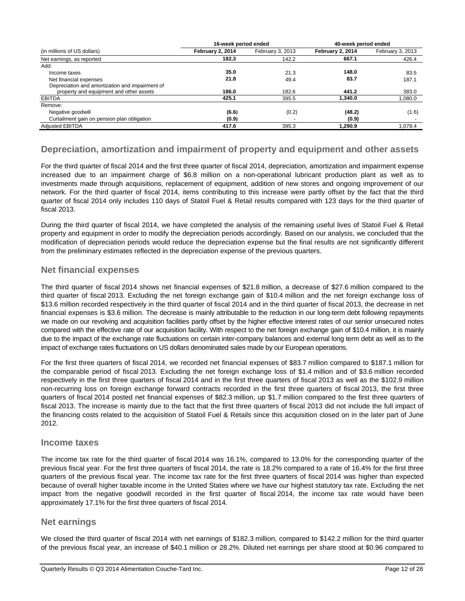|                                                 | 16-week period ended |                  | 40-week period ended |                  |
|-------------------------------------------------|----------------------|------------------|----------------------|------------------|
| (in millions of US dollars)                     | February 2, 2014     | February 3, 2013 | February 2, 2014     | February 3, 2013 |
| Net earnings, as reported                       | 182.3                | 142.2            | 667.1                | 426.4            |
| Add:                                            |                      |                  |                      |                  |
| Income taxes                                    | 35.0                 | 21.3             | 148.0                | 83.5             |
| Net financial expenses                          | 21.8                 | 49.4             | 83.7                 | 187.1            |
| Depreciation and amortization and impairment of |                      |                  |                      |                  |
| property and equipment and other assets         | 186.0                | 182.6            | 441.2                | 383.0            |
| <b>EBITDA</b>                                   | 425.1                | 395.5            | 1.340.0              | 1,080.0          |
| Remove:                                         |                      |                  |                      |                  |
| Negative goodwill                               | (6.6)                | (0.2)            | (48.2)               | (1.6)            |
| Curtailment gain on pension plan obligation     | (0.9)                |                  | (0.9)                |                  |
| <b>Adjusted EBITDA</b>                          | 417.6                | 395.3            | 1.290.9              | 1.078.4          |

### **Depreciation, amortization and impairment of property and equipment and other assets**

For the third quarter of fiscal 2014 and the first three quarter of fiscal 2014, depreciation, amortization and impairment expense increased due to an impairment charge of \$6.8 million on a non-operational lubricant production plant as well as to investments made through acquisitions, replacement of equipment, addition of new stores and ongoing improvement of our network. For the third quarter of fiscal 2014, items contributing to this increase were partly offset by the fact that the third quarter of fiscal 2014 only includes 110 days of Statoil Fuel & Retail results compared with 123 days for the third quarter of fiscal 2013.

During the third quarter of fiscal 2014, we have completed the analysis of the remaining useful lives of Statoil Fuel & Retail property and equipment in order to modify the depreciation periods accordingly. Based on our analysis, we concluded that the modification of depreciation periods would reduce the depreciation expense but the final results are not significantly different from the preliminary estimates reflected in the depreciation expense of the previous quarters.

### **Net financial expenses**

The third quarter of fiscal 2014 shows net financial expenses of \$21.8 million, a decrease of \$27.6 million compared to the third quarter of fiscal 2013. Excluding the net foreign exchange gain of \$10.4 million and the net foreign exchange loss of \$13.6 million recorded respectively in the third quarter of fiscal 2014 and in the third quarter of fiscal 2013, the decrease in net financial expenses is \$3.6 million. The decrease is mainly attributable to the reduction in our long-term debt following repayments we made on our revolving and acquisition facilities partly offset by the higher effective interest rates of our senior unsecured notes compared with the effective rate of our acquisition facility. With respect to the net foreign exchange gain of \$10.4 million, it is mainly due to the impact of the exchange rate fluctuations on certain inter-company balances and external long term debt as well as to the impact of exchange rates fluctuations on US dollars denominated sales made by our European operations.

For the first three quarters of fiscal 2014, we recorded net financial expenses of \$83.7 million compared to \$187.1 million for the comparable period of fiscal 2013. Excluding the net foreign exchange loss of \$1.4 million and of \$3.6 million recorded respectively in the first three quarters of fiscal 2014 and in the first three quarters of fiscal 2013 as well as the \$102.9 million non-recurring loss on foreign exchange forward contracts recorded in the first three quarters of fiscal 2013, the first three quarters of fiscal 2014 posted net financial expenses of \$82.3 million, up \$1.7 million compared to the first three quarters of fiscal 2013. The increase is mainly due to the fact that the first three quarters of fiscal 2013 did not include the full impact of the financing costs related to the acquisition of Statoil Fuel & Retails since this acquisition closed on in the later part of June 2012.

### **Income taxes**

The income tax rate for the third quarter of fiscal 2014 was 16.1%, compared to 13.0% for the corresponding quarter of the previous fiscal year. For the first three quarters of fiscal 2014, the rate is 18.2% compared to a rate of 16.4% for the first three quarters of the previous fiscal year. The income tax rate for the first three quarters of fiscal 2014 was higher than expected because of overall higher taxable income in the United States where we have our highest statutory tax rate. Excluding the net impact from the negative goodwill recorded in the first quarter of fiscal 2014, the income tax rate would have been approximately 17.1% for the first three quarters of fiscal 2014.

### **Net earnings**

We closed the third quarter of fiscal 2014 with net earnings of \$182.3 million, compared to \$142.2 million for the third quarter of the previous fiscal year, an increase of \$40.1 million or 28.2%. Diluted net earnings per share stood at \$0.96 compared to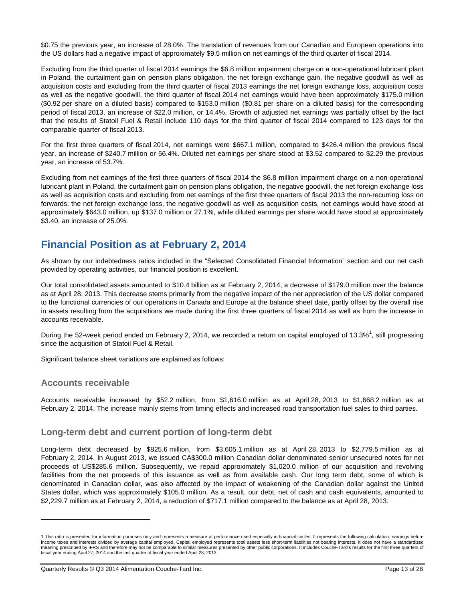\$0.75 the previous year, an increase of 28.0%. The translation of revenues from our Canadian and European operations into the US dollars had a negative impact of approximately \$9.5 million on net earnings of the third quarter of fiscal 2014.

Excluding from the third quarter of fiscal 2014 earnings the \$6.8 million impairment charge on a non-operational lubricant plant in Poland, the curtailment gain on pension plans obligation, the net foreign exchange gain, the negative goodwill as well as acquisition costs and excluding from the third quarter of fiscal 2013 earnings the net foreign exchange loss, acquisition costs as well as the negative goodwill, the third quarter of fiscal 2014 net earnings would have been approximately \$175.0 million (\$0.92 per share on a diluted basis) compared to \$153.0 million (\$0.81 per share on a diluted basis) for the corresponding period of fiscal 2013, an increase of \$22.0 million, or 14.4%. Growth of adjusted net earnings was partially offset by the fact that the results of Statoil Fuel & Retail include 110 days for the third quarter of fiscal 2014 compared to 123 days for the comparable quarter of fiscal 2013.

For the first three quarters of fiscal 2014, net earnings were \$667.1 million, compared to \$426.4 million the previous fiscal year, an increase of \$240.7 million or 56.4%. Diluted net earnings per share stood at \$3.52 compared to \$2.29 the previous year, an increase of 53.7%.

Excluding from net earnings of the first three quarters of fiscal 2014 the \$6.8 million impairment charge on a non-operational lubricant plant in Poland, the curtailment gain on pension plans obligation, the negative goodwill, the net foreign exchange loss as well as acquisition costs and excluding from net earnings of the first three quarters of fiscal 2013 the non-recurring loss on forwards, the net foreign exchange loss, the negative goodwill as well as acquisition costs, net earnings would have stood at approximately \$643.0 million, up \$137.0 million or 27.1%, while diluted earnings per share would have stood at approximately \$3.40, an increase of 25.0%.

# **Financial Position as at February 2, 2014**

As shown by our indebtedness ratios included in the "Selected Consolidated Financial Information" section and our net cash provided by operating activities, our financial position is excellent.

Our total consolidated assets amounted to \$10.4 billion as at February 2, 2014, a decrease of \$179.0 million over the balance as at April 28, 2013. This decrease stems primarily from the negative impact of the net appreciation of the US dollar compared to the functional currencies of our operations in Canada and Europe at the balance sheet date, partly offset by the overall rise in assets resulting from the acquisitions we made during the first three quarters of fiscal 2014 as well as from the increase in accounts receivable.

During the 52-week period ended on February 2, 2014, we recorded a return on capital employed of 13.3%<sup>1</sup>, still progressing since the acquisition of Statoil Fuel & Retail.

Significant balance sheet variations are explained as follows:

### **Accounts receivable**

 $\overline{a}$ 

Accounts receivable increased by \$52.2 million, from \$1,616.0 million as at April 28, 2013 to \$1,668.2 million as at February 2, 2014. The increase mainly stems from timing effects and increased road transportation fuel sales to third parties.

### **Long-term debt and current portion of long-term debt**

Long-term debt decreased by \$825.6 million, from \$3,605.1 million as at April 28, 2013 to \$2,779.5 million as at February 2, 2014. In August 2013, we issued CA\$300.0 million Canadian dollar denominated senior unsecured notes for net proceeds of US\$285.6 million. Subsequently, we repaid approximately \$1,020.0 million of our acquisition and revolving facilities from the net proceeds of this issuance as well as from available cash. Our long term debt, some of which is denominated in Canadian dollar, was also affected by the impact of weakening of the Canadian dollar against the United States dollar, which was approximately \$105.0 million. As a result, our debt, net of cash and cash equivalents, amounted to \$2,229.7 million as at February 2, 2014, a reduction of \$717.1 million compared to the balance as at April 28, 2013.

<sup>1</sup> This ratio is presented for information purposes only and represents a measure of performance used especially in financial circles. It represents the following calculation: earnings before income taxes and interests divided by average capital employed. Capital employed represents total assets less short-term liabilities not bearing interests. It does not have a standardized meaning prescribed by IFRS and therefore may not be comparable to similar measures presented by other public corporations. It includes Couche-Tard's results for the first three quarters of fiscal year ending April 27, 2014 and the last quarter of fiscal year ended April 28, 2013.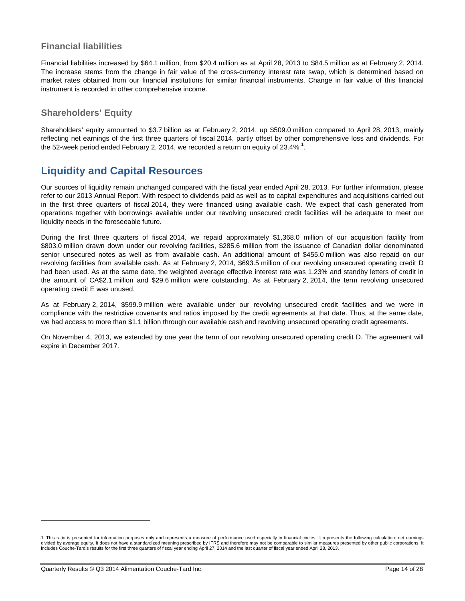### **Financial liabilities**

Financial liabilities increased by \$64.1 million, from \$20.4 million as at April 28, 2013 to \$84.5 million as at February 2, 2014. The increase stems from the change in fair value of the cross-currency interest rate swap, which is determined based on market rates obtained from our financial institutions for similar financial instruments. Change in fair value of this financial instrument is recorded in other comprehensive income.

### **Shareholders' Equity**

Shareholders' equity amounted to \$3.7 billion as at February 2, 2014, up \$509.0 million compared to April 28, 2013, mainly reflecting net earnings of the first three quarters of fiscal 2014, partly offset by other comprehensive loss and dividends. For the 52-week period ended February 2, 2014, we recorded a return on equity of 23.4%  $^1$ .

# **Liquidity and Capital Resources**

Our sources of liquidity remain unchanged compared with the fiscal year ended April 28, 2013. For further information, please refer to our 2013 Annual Report. With respect to dividends paid as well as to capital expenditures and acquisitions carried out in the first three quarters of fiscal 2014, they were financed using available cash. We expect that cash generated from operations together with borrowings available under our revolving unsecured credit facilities will be adequate to meet our liquidity needs in the foreseeable future.

During the first three quarters of fiscal 2014, we repaid approximately \$1,368.0 million of our acquisition facility from \$803.0 million drawn down under our revolving facilities, \$285.6 million from the issuance of Canadian dollar denominated senior unsecured notes as well as from available cash. An additional amount of \$455.0 million was also repaid on our revolving facilities from available cash. As at February 2, 2014, \$693.5 million of our revolving unsecured operating credit D had been used. As at the same date, the weighted average effective interest rate was 1.23% and standby letters of credit in the amount of CA\$2.1 million and \$29.6 million were outstanding. As at February 2, 2014, the term revolving unsecured operating credit E was unused.

As at February 2, 2014, \$599.9 million were available under our revolving unsecured credit facilities and we were in compliance with the restrictive covenants and ratios imposed by the credit agreements at that date. Thus, at the same date, we had access to more than \$1.1 billion through our available cash and revolving unsecured operating credit agreements.

On November 4, 2013, we extended by one year the term of our revolving unsecured operating credit D. The agreement will expire in December 2017.

 $\overline{a}$ 

<sup>1</sup> This ratio is presented for information purposes only and represents a measure of performance used especially in financial circles. It represents the following calculation: net earnings divided by average equity. It does not have a standardized meaning prescribed by IFRS and therefore may not be comparable to similar measures presented by other public corporations. It includes Couche-Tard's results for the first three quarters of fiscal year ending April 27, 2014 and the last quarter of fiscal year ended April 28, 2013.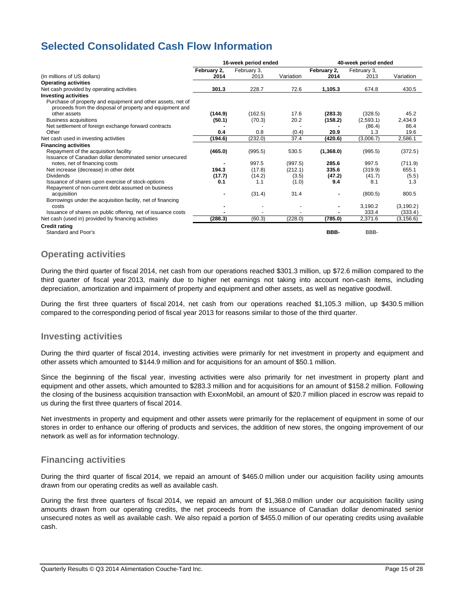# **Selected Consolidated Cash Flow Information**

|                                                                                                                         | 16-week period ended |             |           | 40-week period ended |             |            |
|-------------------------------------------------------------------------------------------------------------------------|----------------------|-------------|-----------|----------------------|-------------|------------|
|                                                                                                                         | February 2,          | February 3, |           | February 2,          | February 3, |            |
| (In millions of US dollars)                                                                                             | 2014                 | 2013        | Variation | 2014                 | 2013        | Variation  |
| <b>Operating activities</b>                                                                                             |                      |             |           |                      |             |            |
| Net cash provided by operating activities                                                                               | 301.3                | 228.7       | 72.6      | 1,105.3              | 674.8       | 430.5      |
| <b>Investing activities</b>                                                                                             |                      |             |           |                      |             |            |
| Purchase of property and equipment and other assets, net of<br>proceeds from the disposal of property and equipment and |                      |             |           |                      |             |            |
| other assets                                                                                                            | (144.9)              | (162.5)     | 17.6      | (283.3)              | (328.5)     | 45.2       |
| <b>Business acquisitions</b>                                                                                            | (50.1)               | (70.3)      | 20.2      | (158.2)              | (2,593.1)   | 2,434.9    |
| Net settlement of foreign exchange forward contracts                                                                    |                      |             |           |                      | (86.4)      | 86.4       |
| Other                                                                                                                   | 0.4                  | 0.8         | (0.4)     | 20.9                 | 1.3         | 19.6       |
| Net cash used in investing activities                                                                                   | (194.6)              | (232.0)     | 37.4      | (420.6)              | (3,006.7)   | 2,586.1    |
| <b>Financing activities</b>                                                                                             |                      |             |           |                      |             |            |
| Repayment of the acquisition facility                                                                                   | (465.0)              | (995.5)     | 530.5     | (1,368.0)            | (995.5)     | (372.5)    |
| Issuance of Canadian dollar denominated senior unsecured                                                                |                      |             |           |                      |             |            |
| notes, net of financing costs                                                                                           |                      | 997.5       | (997.5)   | 285.6                | 997.5       | (711.9)    |
| Net increase (decrease) in other debt                                                                                   | 194.3                | (17.8)      | (212.1)   | 335.6                | (319.9)     | 655.1      |
| <b>Dividends</b>                                                                                                        | (17.7)               | (14.2)      | (3.5)     | (47.2)               | (41.7)      | (5.5)      |
| Issuance of shares upon exercise of stock-options                                                                       | 0.1                  | 1.1         | (1.0)     | 9.4                  | 8.1         | 1.3        |
| Repayment of non-current debt assumed on business<br>acquisition                                                        |                      | (31.4)      | 31.4      |                      | (800.5)     | 800.5      |
| Borrowings under the acquisition facility, net of financing                                                             |                      |             |           |                      |             |            |
| costs                                                                                                                   |                      |             |           |                      | 3,190.2     | (3, 190.2) |
| Issuance of shares on public offering, net of issuance costs                                                            |                      |             |           |                      | 333.4       | (333.4)    |
| Net cash (used in) provided by financing activities                                                                     | (288.3)              | (60.3)      | (228.0)   | (785.0)              | 2,371.6     | (3, 156.6) |
| <b>Credit rating</b>                                                                                                    |                      |             |           |                      |             |            |

Standard and Poor's **BBB-** BBB-

### **Operating activities**

During the third quarter of fiscal 2014, net cash from our operations reached \$301.3 million, up \$72.6 million compared to the third quarter of fiscal year 2013, mainly due to higher net earnings not taking into account non-cash items, including depreciation, amortization and impairment of property and equipment and other assets, as well as negative goodwill.

During the first three quarters of fiscal 2014, net cash from our operations reached \$1,105.3 million, up \$430.5 million compared to the corresponding period of fiscal year 2013 for reasons similar to those of the third quarter.

### **Investing activities**

During the third quarter of fiscal 2014, investing activities were primarily for net investment in property and equipment and other assets which amounted to \$144.9 million and for acquisitions for an amount of \$50.1 million.

Since the beginning of the fiscal year, investing activities were also primarily for net investment in property plant and equipment and other assets, which amounted to \$283.3 million and for acquisitions for an amount of \$158.2 million. Following the closing of the business acquisition transaction with ExxonMobil, an amount of \$20.7 million placed in escrow was repaid to us during the first three quarters of fiscal 2014.

Net investments in property and equipment and other assets were primarily for the replacement of equipment in some of our stores in order to enhance our offering of products and services, the addition of new stores, the ongoing improvement of our network as well as for information technology.

### **Financing activities**

During the third quarter of fiscal 2014, we repaid an amount of \$465.0 million under our acquisition facility using amounts drawn from our operating credits as well as available cash.

During the first three quarters of fiscal 2014, we repaid an amount of \$1,368.0 million under our acquisition facility using amounts drawn from our operating credits, the net proceeds from the issuance of Canadian dollar denominated senior unsecured notes as well as available cash. We also repaid a portion of \$455.0 million of our operating credits using available cash.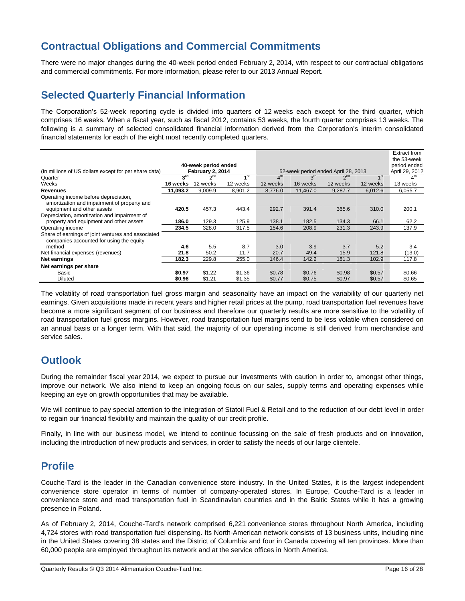# **Contractual Obligations and Commercial Commitments**

There were no major changes during the 40-week period ended February 2, 2014, with respect to our contractual obligations and commercial commitments. For more information, please refer to our 2013 Annual Report.

# **Selected Quarterly Financial Information**

The Corporation's 52-week reporting cycle is divided into quarters of 12 weeks each except for the third quarter, which comprises 16 weeks. When a fiscal year, such as fiscal 2012, contains 53 weeks, the fourth quarter comprises 13 weeks. The following is a summary of selected consolidated financial information derived from the Corporation's interim consolidated financial statements for each of the eight most recently completed quarters.

|                                                                            |                 |                      |          |                 |                                     |                 |                 | Extract from<br>the 53-week |
|----------------------------------------------------------------------------|-----------------|----------------------|----------|-----------------|-------------------------------------|-----------------|-----------------|-----------------------------|
|                                                                            |                 | 40-week period ended |          |                 |                                     |                 |                 | period ended                |
| (In millions of US dollars except for per share data)                      |                 | February 2, 2014     |          |                 | 52-week period ended April 28, 2013 |                 |                 | April 29, 2012              |
| Quarter                                                                    | 3 <sup>rd</sup> | 2 <sup>nd</sup>      | ⊿ st     | 4 <sup>th</sup> | 3 <sup>rd</sup>                     | 2 <sup>nd</sup> | 1 <sup>st</sup> |                             |
| Weeks                                                                      | 16 weeks        | 12 weeks             | 12 weeks | 12 weeks        | 16 weeks                            | 12 weeks        | 12 weeks        | 13 weeks                    |
| <b>Revenues</b>                                                            | 11.093.2        | 9,009.9              | 8,901.2  | 8,776.0         | 11,467.0                            | 9,287.7         | 6,012.6         | 6,055.7                     |
| Operating income before depreciation,                                      |                 |                      |          |                 |                                     |                 |                 |                             |
| amortization and impairment of property and                                |                 |                      |          |                 |                                     |                 |                 |                             |
| equipment and other assets<br>Depreciation, amortization and impairment of | 420.5           | 457.3                | 443.4    | 292.7           | 391.4                               | 365.6           | 310.0           | 200.1                       |
| property and equipment and other assets                                    | 186.0           | 129.3                | 125.9    | 138.1           | 182.5                               | 134.3           | 66.1            | 62.2                        |
| Operating income                                                           | 234.5           | 328.0                | 317.5    | 154.6           | 208.9                               | 231.3           | 243.9           | 137.9                       |
| Share of earnings of joint ventures and associated                         |                 |                      |          |                 |                                     |                 |                 |                             |
| companies accounted for using the equity                                   |                 |                      |          |                 |                                     |                 |                 |                             |
| method                                                                     | 4.6             | 5.5                  | 8.7      | 3.0             | 3.9                                 | 3.7             | 5.2             | 3.4                         |
| Net financial expenses (revenues)                                          | 21.8            | 50.2                 | 11.7     | 20.7            | 49.4                                | 15.9            | 121.8           | (13.0)                      |
| Net earnings                                                               | 182.3           | 229.8                | 255.0    | 146.4           | 142.2                               | 181.3           | 102.9           | 117.8                       |
| Net earnings per share                                                     |                 |                      |          |                 |                                     |                 |                 |                             |
| Basic                                                                      | \$0.97          | \$1.22               | \$1.36   | \$0.78          | \$0.76                              | \$0.98          | \$0.57          | \$0.66                      |
| <b>Diluted</b>                                                             | \$0.96          | \$1.21               | \$1.35   | \$0.77          | \$0.75                              | \$0.97          | \$0.57          | \$0.65                      |

The volatility of road transportation fuel gross margin and seasonality have an impact on the variability of our quarterly net earnings. Given acquisitions made in recent years and higher retail prices at the pump, road transportation fuel revenues have become a more significant segment of our business and therefore our quarterly results are more sensitive to the volatility of road transportation fuel gross margins. However, road transportation fuel margins tend to be less volatile when considered on an annual basis or a longer term. With that said, the majority of our operating income is still derived from merchandise and service sales.

# **Outlook**

During the remainder fiscal year 2014, we expect to pursue our investments with caution in order to, amongst other things, improve our network. We also intend to keep an ongoing focus on our sales, supply terms and operating expenses while keeping an eye on growth opportunities that may be available.

We will continue to pay special attention to the integration of Statoil Fuel & Retail and to the reduction of our debt level in order to regain our financial flexibility and maintain the quality of our credit profile.

Finally, in line with our business model, we intend to continue focussing on the sale of fresh products and on innovation, including the introduction of new products and services, in order to satisfy the needs of our large clientele.

# **Profile**

Couche-Tard is the leader in the Canadian convenience store industry. In the United States, it is the largest independent convenience store operator in terms of number of company-operated stores. In Europe, Couche-Tard is a leader in convenience store and road transportation fuel in Scandinavian countries and in the Baltic States while it has a growing presence in Poland.

As of February 2, 2014, Couche-Tard's network comprised 6,221 convenience stores throughout North America, including 4,724 stores with road transportation fuel dispensing. Its North-American network consists of 13 business units, including nine in the United States covering 38 states and the District of Columbia and four in Canada covering all ten provinces. More than 60,000 people are employed throughout its network and at the service offices in North America.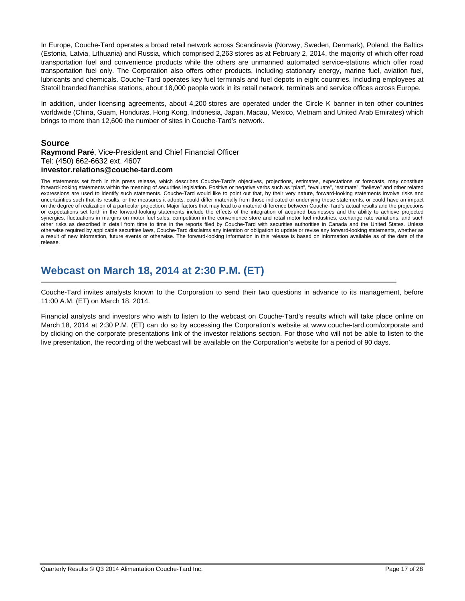In Europe, Couche-Tard operates a broad retail network across Scandinavia (Norway, Sweden, Denmark), Poland, the Baltics (Estonia, Latvia, Lithuania) and Russia, which comprised 2,263 stores as at February 2, 2014, the majority of which offer road transportation fuel and convenience products while the others are unmanned automated service-stations which offer road transportation fuel only. The Corporation also offers other products, including stationary energy, marine fuel, aviation fuel, lubricants and chemicals. Couche-Tard operates key fuel terminals and fuel depots in eight countries. Including employees at Statoil branded franchise stations, about 18,000 people work in its retail network, terminals and service offices across Europe.

In addition, under licensing agreements, about 4,200 stores are operated under the Circle K banner in ten other countries worldwide (China, Guam, Honduras, Hong Kong, Indonesia, Japan, Macau, Mexico, Vietnam and United Arab Emirates) which brings to more than 12,600 the number of sites in Couche-Tard's network.

### **Source**

**Raymond Paré**, Vice-President and Chief Financial Officer Tel: (450) 662-6632 ext. 4607 **investor.relations@couche-tard.com** 

The statements set forth in this press release, which describes Couche-Tard's objectives, projections, estimates, expectations or forecasts, may constitute forward-looking statements within the meaning of securities legislation. Positive or negative verbs such as "plan", "evaluate", "estimate", "believe" and other related expressions are used to identify such statements. Couche-Tard would like to point out that, by their very nature, forward-looking statements involve risks and uncertainties such that its results, or the measures it adopts, could differ materially from those indicated or underlying these statements, or could have an impact on the degree of realization of a particular projection. Major factors that may lead to a material difference between Couche-Tard's actual results and the projections or expectations set forth in the forward-looking statements include the effects of the integration of acquired businesses and the ability to achieve projected synergies, fluctuations in margins on motor fuel sales, competition in the convenience store and retail motor fuel industries, exchange rate variations, and such other risks as described in detail from time to time in the reports filed by Couche-Tard with securities authorities in Canada and the United States. Unless otherwise required by applicable securities laws, Couche-Tard disclaims any intention or obligation to update or revise any forward-looking statements, whether as a result of new information, future events or otherwise. The forward-looking information in this release is based on information available as of the date of the release.

# **Webcast on March 18, 2014 at 2:30 P.M. (ET)**

Couche-Tard invites analysts known to the Corporation to send their two questions in advance to its management, before 11:00 A.M. (ET) on March 18, 2014.

Financial analysts and investors who wish to listen to the webcast on Couche-Tard's results which will take place online on March 18, 2014 at 2:30 P.M. (ET) can do so by accessing the Corporation's website at www.couche-tard.com/corporate and by clicking on the corporate presentations link of the investor relations section. For those who will not be able to listen to the live presentation, the recording of the webcast will be available on the Corporation's website for a period of 90 days.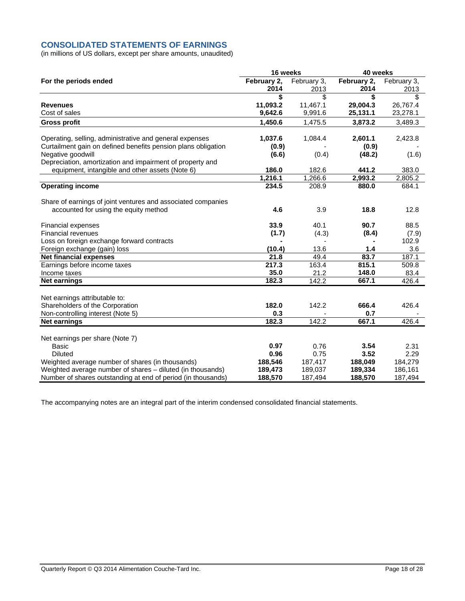### **CONSOLIDATED STATEMENTS OF EARNINGS**

(in millions of US dollars, except per share amounts, unaudited)

|                                                               | 16 weeks          |             | 40 weeks    |             |  |
|---------------------------------------------------------------|-------------------|-------------|-------------|-------------|--|
| For the periods ended                                         | February 2,       | February 3, | February 2, | February 3, |  |
|                                                               | 2014              | 2013        | 2014        | 2013        |  |
|                                                               | \$                | \$          | \$          | \$          |  |
| <b>Revenues</b>                                               | 11,093.2          | 11,467.1    | 29,004.3    | 26,767.4    |  |
| Cost of sales                                                 | 9,642.6           | 9,991.6     | 25,131.1    | 23,278.1    |  |
| <b>Gross profit</b>                                           | 1,450.6           | 1,475.5     | 3,873.2     | 3,489.3     |  |
| Operating, selling, administrative and general expenses       | 1,037.6           | 1,084.4     | 2,601.1     | 2,423.8     |  |
| Curtailment gain on defined benefits pension plans obligation | (0.9)             |             | (0.9)       |             |  |
| Negative goodwill                                             | (6.6)             | (0.4)       | (48.2)      | (1.6)       |  |
| Depreciation, amortization and impairment of property and     |                   |             |             |             |  |
| equipment, intangible and other assets (Note 6)               | 186.0             | 182.6       | 441.2       | 383.0       |  |
|                                                               | 1,216.1           | 1,266.6     | 2,993.2     | 2,805.2     |  |
| <b>Operating income</b>                                       | 234.5             | 208.9       | 880.0       | 684.1       |  |
| Share of earnings of joint ventures and associated companies  |                   |             |             |             |  |
| accounted for using the equity method                         | 4.6               | 3.9         | 18.8        | 12.8        |  |
| <b>Financial expenses</b>                                     | 33.9              | 40.1        | 90.7        | 88.5        |  |
| <b>Financial revenues</b>                                     | (1.7)             | (4.3)       | (8.4)       | (7.9)       |  |
| Loss on foreign exchange forward contracts                    |                   |             |             | 102.9       |  |
| Foreign exchange (gain) loss                                  | (10.4)            | 13.6        | 1.4         | 3.6         |  |
| <b>Net financial expenses</b>                                 | $\overline{21.8}$ | 49.4        | 83.7        | 187.1       |  |
| Earnings before income taxes                                  | 217.3             | 163.4       | 815.1       | 509.8       |  |
| Income taxes                                                  | 35.0              | 21.2        | 148.0       | 83.4        |  |
| Net earnings                                                  | 182.3             | 142.2       | 667.1       | 426.4       |  |
| Net earnings attributable to:                                 |                   |             |             |             |  |
| Shareholders of the Corporation                               | 182.0             | 142.2       | 666.4       | 426.4       |  |
| Non-controlling interest (Note 5)                             | 0.3               |             | 0.7         |             |  |
| <b>Net earnings</b>                                           | 182.3             | 142.2       | 667.1       | 426.4       |  |
| Net earnings per share (Note 7)                               |                   |             |             |             |  |
| <b>Basic</b>                                                  | 0.97              | 0.76        | 3.54        | 2.31        |  |
| <b>Diluted</b>                                                | 0.96              | 0.75        | 3.52        | 2.29        |  |
| Weighted average number of shares (in thousands)              | 188,546           | 187,417     | 188,049     | 184,279     |  |
| Weighted average number of shares - diluted (in thousands)    | 189,473           | 189,037     | 189,334     | 186,161     |  |
| Number of shares outstanding at end of period (in thousands)  | 188,570           | 187,494     | 188,570     | 187,494     |  |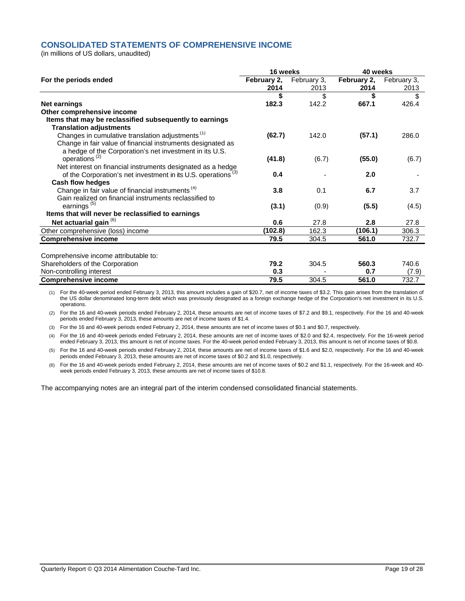### **CONSOLIDATED STATEMENTS OF COMPREHENSIVE INCOME**

(in millions of US dollars, unaudited)

|                                                                           | 16 weeks            |                     | 40 weeks            |                     |  |
|---------------------------------------------------------------------------|---------------------|---------------------|---------------------|---------------------|--|
| For the periods ended                                                     | February 2,<br>2014 | February 3,<br>2013 | February 2,<br>2014 | February 3,<br>2013 |  |
|                                                                           | \$                  | \$                  | \$                  | \$                  |  |
| <b>Net earnings</b>                                                       | 182.3               | 142.2               | 667.1               | 426.4               |  |
| Other comprehensive income                                                |                     |                     |                     |                     |  |
| Items that may be reclassified subsequently to earnings                   |                     |                     |                     |                     |  |
| <b>Translation adjustments</b>                                            |                     |                     |                     |                     |  |
| Changes in cumulative translation adjustments <sup>(1)</sup>              | (62.7)              | 142.0               | (57.1)              | 286.0               |  |
| Change in fair value of financial instruments designated as               |                     |                     |                     |                     |  |
| a hedge of the Corporation's net investment in its U.S.                   |                     |                     |                     |                     |  |
| operations <sup>(2)</sup>                                                 | (41.8)              | (6.7)               | (55.0)              | (6.7)               |  |
| Net interest on financial instruments designated as a hedge               |                     |                     |                     |                     |  |
| of the Corporation's net investment in its U.S. operations <sup>(3)</sup> | 0.4                 |                     | 2.0                 |                     |  |
| Cash flow hedges                                                          |                     |                     |                     |                     |  |
| Change in fair value of financial instruments <sup>(4)</sup>              | 3.8                 | 0.1                 | 6.7                 | 3.7                 |  |
| Gain realized on financial instruments reclassified to                    |                     |                     |                     |                     |  |
| earnings <sup>(5)</sup>                                                   | (3.1)               | (0.9)               | (5.5)               | (4.5)               |  |
| Items that will never be reclassified to earnings                         |                     |                     |                     |                     |  |
| Net actuarial gain $(6)$                                                  | 0.6                 | 27.8                | 2.8                 | 27.8                |  |
| Other comprehensive (loss) income                                         | (102.8)             | 162.3               | (106.1)             | 306.3               |  |
| <b>Comprehensive income</b>                                               | 79.5                | 304.5               | 561.0               | 732.7               |  |
|                                                                           |                     |                     |                     |                     |  |
| Comprehensive income attributable to:                                     |                     |                     |                     |                     |  |
| Shareholders of the Corporation                                           | 79.2                | 304.5               | 560.3               | 740.6               |  |
| Non-controlling interest                                                  | 0.3                 |                     | 0.7                 | (7.9)               |  |
| <b>Comprehensive income</b>                                               | 79.5                | 304.5               | 561.0               | 732.7               |  |

(1) For the 40-week period ended February 3, 2013, this amount includes a gain of \$20.7, net of income taxes of \$3.2. This gain arises from the translation of the US dollar denominated long-term debt which was previously designated as a foreign exchange hedge of the Corporation's net investment in its U.S. operations.

(2) For the 16 and 40-week periods ended February 2, 2014, these amounts are net of income taxes of \$7.2 and \$9.1, respectively. For the 16 and 40-week periods ended February 3, 2013, these amounts are net of income taxes of \$1.4.

(3) For the 16 and 40-week periods ended February 2, 2014, these amounts are net of income taxes of \$0.1 and \$0.7, respectively.

(4) For the 16 and 40-week periods ended February 2, 2014, these amounts are net of income taxes of \$2.0 and \$2.4, respectively. For the 16-week period ended February 3, 2013, this amount is net of income taxes. For the 40-week period ended February 3, 2013, this amount is net of income taxes of \$0.8.

(5) For the 16 and 40-week periods ended February 2, 2014, these amounts are net of income taxes of \$1.6 and \$2.0, respectively. For the 16 and 40-week periods ended February 3, 2013, these amounts are net of income taxes of \$0.2 and \$1.0, respectively.

(6) For the 16 and 40-week periods ended February 2, 2014, these amounts are net of income taxes of \$0.2 and \$1.1, respectively. For the 16-week and 40 week periods ended February 3, 2013, these amounts are net of income taxes of \$10.8.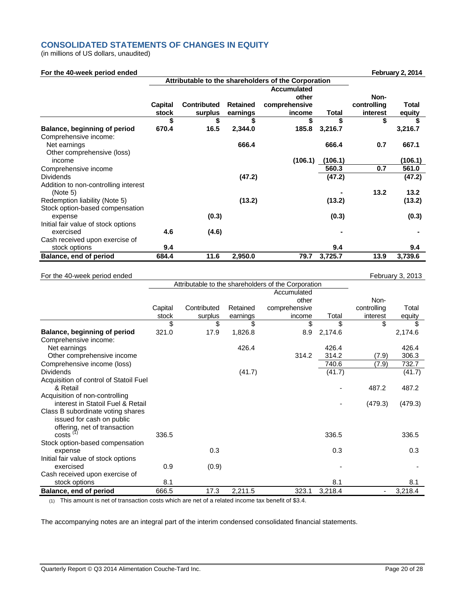### **CONSOLIDATED STATEMENTS OF CHANGES IN EQUITY**

(in millions of US dollars, unaudited)

| For the 40-week period ended         |         |                    |          |                                                     |         |             | February 2, 2014 |
|--------------------------------------|---------|--------------------|----------|-----------------------------------------------------|---------|-------------|------------------|
|                                      |         |                    |          | Attributable to the shareholders of the Corporation |         |             |                  |
|                                      |         |                    |          | <b>Accumulated</b>                                  |         |             |                  |
|                                      |         |                    |          | other                                               |         | Non-        |                  |
|                                      | Capital | <b>Contributed</b> | Retained | comprehensive                                       |         | controlling | Total            |
|                                      | stock   | surplus            | earnings | income                                              | Total   | interest    | equity           |
|                                      | \$      | \$                 |          | \$                                                  | \$      | \$          |                  |
| Balance, beginning of period         | 670.4   | 16.5               | 2,344.0  | 185.8                                               | 3,216.7 |             | 3,216.7          |
| Comprehensive income:                |         |                    |          |                                                     |         |             |                  |
| Net earnings                         |         |                    | 666.4    |                                                     | 666.4   | 0.7         | 667.1            |
| Other comprehensive (loss)           |         |                    |          |                                                     |         |             |                  |
| income                               |         |                    |          | (106.1)                                             | (106.1) |             | (106.1)          |
| Comprehensive income                 |         |                    |          |                                                     | 560.3   | 0.7         | 561.0            |
| <b>Dividends</b>                     |         |                    | (47.2)   |                                                     | (47.2)  |             | (47.2)           |
| Addition to non-controlling interest |         |                    |          |                                                     |         |             |                  |
| (Note 5)                             |         |                    |          |                                                     |         | 13.2        | 13.2             |
| Redemption liability (Note 5)        |         |                    | (13.2)   |                                                     | (13.2)  |             | (13.2)           |
| Stock option-based compensation      |         |                    |          |                                                     |         |             |                  |
| expense                              |         | (0.3)              |          |                                                     | (0.3)   |             | (0.3)            |
| Initial fair value of stock options  |         |                    |          |                                                     |         |             |                  |
| exercised                            | 4.6     | (4.6)              |          |                                                     |         |             |                  |
| Cash received upon exercise of       |         |                    |          |                                                     |         |             |                  |
| stock options                        | 9.4     |                    |          |                                                     | 9.4     |             | 9.4              |
| Balance, end of period               | 684.4   | 11.6               | 2,950.0  | 79.7                                                | 3,725.7 | 13.9        | 3,739.6          |

## For the 40-week period ended February 3, 2013

|                                        |         | Attributable to the shareholders of the Corporation |          |               |         |             |         |
|----------------------------------------|---------|-----------------------------------------------------|----------|---------------|---------|-------------|---------|
|                                        |         |                                                     |          | Accumulated   |         |             |         |
|                                        |         |                                                     |          | other         |         | Non-        |         |
|                                        | Capital | Contributed                                         | Retained | comprehensive |         | controlling | Total   |
|                                        | stock   | surplus                                             | earnings | income        | Total   | interest    | equity  |
|                                        | \$      | \$                                                  | \$       | \$            | \$      | \$          | \$      |
| Balance, beginning of period           | 321.0   | 17.9                                                | 1,826.8  | 8.9           | 2,174.6 |             | 2,174.6 |
| Comprehensive income:                  |         |                                                     |          |               |         |             |         |
| Net earnings                           |         |                                                     | 426.4    |               | 426.4   |             | 426.4   |
| Other comprehensive income             |         |                                                     |          | 314.2         | 314.2   | (7.9)       | 306.3   |
| Comprehensive income (loss)            |         |                                                     |          |               | 740.6   | (7.9)       | 732.7   |
| <b>Dividends</b>                       |         |                                                     | (41.7)   |               | (41.7)  |             | (41.7)  |
| Acquisition of control of Statoil Fuel |         |                                                     |          |               |         |             |         |
| & Retail                               |         |                                                     |          |               |         | 487.2       | 487.2   |
| Acquisition of non-controlling         |         |                                                     |          |               |         |             |         |
| interest in Statoil Fuel & Retail      |         |                                                     |          |               |         | (479.3)     | (479.3) |
| Class B subordinate voting shares      |         |                                                     |          |               |         |             |         |
| issued for cash on public              |         |                                                     |          |               |         |             |         |
| offering, net of transaction           |         |                                                     |          |               |         |             |         |
| $costs$ <sup>(1)</sup>                 | 336.5   |                                                     |          |               | 336.5   |             | 336.5   |
| Stock option-based compensation        |         |                                                     |          |               |         |             |         |
| expense                                |         | 0.3                                                 |          |               | 0.3     |             | 0.3     |
| Initial fair value of stock options    |         |                                                     |          |               |         |             |         |
| exercised                              | 0.9     | (0.9)                                               |          |               |         |             |         |
| Cash received upon exercise of         |         |                                                     |          |               |         |             |         |
| stock options                          | 8.1     |                                                     |          |               | 8.1     |             | 8.1     |
| Balance, end of period                 | 666.5   | 17.3                                                | 2,211.5  | 323.1         | 3,218.4 |             | 3,218.4 |

(1) This amount is net of transaction costs which are net of a related income tax benefit of \$3.4.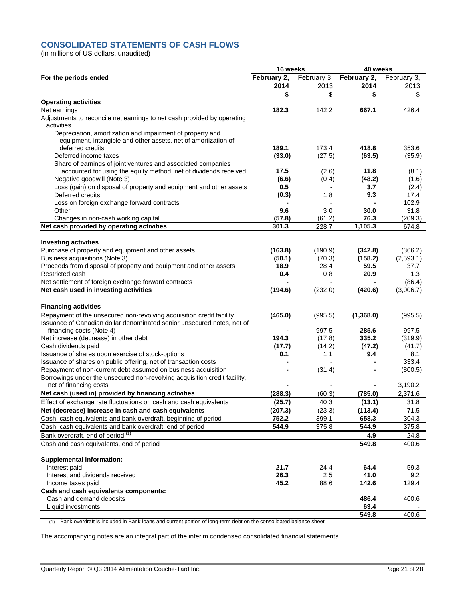### **CONSOLIDATED STATEMENTS OF CASH FLOWS**

(in millions of US dollars, unaudited)

|                                                                                                                                  | 16 weeks            |                     | 40 weeks            |                     |  |  |
|----------------------------------------------------------------------------------------------------------------------------------|---------------------|---------------------|---------------------|---------------------|--|--|
| For the periods ended                                                                                                            | February 2,<br>2014 | February 3,<br>2013 | February 2,<br>2014 | February 3,<br>2013 |  |  |
|                                                                                                                                  | \$                  | \$                  | \$                  | \$                  |  |  |
| <b>Operating activities</b>                                                                                                      |                     |                     |                     |                     |  |  |
| Net earnings                                                                                                                     | 182.3               | 142.2               | 667.1               | 426.4               |  |  |
| Adjustments to reconcile net earnings to net cash provided by operating<br>activities                                            |                     |                     |                     |                     |  |  |
| Depreciation, amortization and impairment of property and<br>equipment, intangible and other assets, net of amortization of      |                     |                     |                     |                     |  |  |
| deferred credits                                                                                                                 | 189.1               | 173.4               | 418.8               | 353.6               |  |  |
| Deferred income taxes                                                                                                            | (33.0)              | (27.5)              | (63.5)              | (35.9)              |  |  |
| Share of earnings of joint ventures and associated companies<br>accounted for using the equity method, net of dividends received | 17.5                | (2.6)               | 11.8                | (8.1)               |  |  |
| Negative goodwill (Note 3)                                                                                                       | (6.6)               | (0.4)               | (48.2)              | (1.6)               |  |  |
| Loss (gain) on disposal of property and equipment and other assets                                                               | 0.5                 |                     | 3.7                 | (2.4)               |  |  |
| Deferred credits                                                                                                                 | (0.3)               | 1.8                 | 9.3                 | 17.4                |  |  |
| Loss on foreign exchange forward contracts                                                                                       |                     |                     |                     | 102.9               |  |  |
| Other                                                                                                                            | 9.6                 | 3.0                 | 30.0                | 31.8                |  |  |
| Changes in non-cash working capital                                                                                              | (57.8)              | (61.2)              | 76.3                | (209.3)             |  |  |
| Net cash provided by operating activities                                                                                        | 301.3               | 228.7               | 1,105.3             | 674.8               |  |  |
|                                                                                                                                  |                     |                     |                     |                     |  |  |
| <b>Investing activities</b>                                                                                                      |                     |                     |                     |                     |  |  |
| Purchase of property and equipment and other assets                                                                              | (163.8)             | (190.9)             | (342.8)             | (366.2)             |  |  |
| Business acquisitions (Note 3)                                                                                                   | (50.1)              | (70.3)              | (158.2)             | (2,593.1)           |  |  |
| Proceeds from disposal of property and equipment and other assets                                                                | 18.9                | 28.4                | 59.5                | 37.7                |  |  |
| Restricted cash                                                                                                                  | 0.4                 | 0.8                 | 20.9                | 1.3                 |  |  |
| Net settlement of foreign exchange forward contracts                                                                             |                     |                     |                     | (86.4)              |  |  |
| Net cash used in investing activities                                                                                            | (194.6)             | (232.0)             | (420.6)             | (3,006.7)           |  |  |
| <b>Financing activities</b>                                                                                                      |                     |                     |                     |                     |  |  |
| Repayment of the unsecured non-revolving acquisition credit facility                                                             | (465.0)             | (995.5)             | (1,368.0)           | (995.5)             |  |  |
| Issuance of Canadian dollar denominated senior unsecured notes, net of                                                           |                     |                     |                     |                     |  |  |
| financing costs (Note 4)                                                                                                         |                     | 997.5               | 285.6               | 997.5               |  |  |
| Net increase (decrease) in other debt                                                                                            | 194.3               | (17.8)              | 335.2               | (319.9)             |  |  |
| Cash dividends paid                                                                                                              | (17.7)              | (14.2)              | (47.2)              | (41.7)              |  |  |
| Issuance of shares upon exercise of stock-options                                                                                | 0.1                 | 1.1                 | 9.4                 | 8.1                 |  |  |
| Issuance of shares on public offering, net of transaction costs                                                                  |                     |                     |                     | 333.4               |  |  |
| Repayment of non-current debt assumed on business acquisition                                                                    |                     | (31.4)              |                     | (800.5)             |  |  |
| Borrowings under the unsecured non-revolving acquisition credit facility,<br>net of financing costs                              |                     |                     |                     | 3,190.2             |  |  |
| Net cash (used in) provided by financing activities                                                                              | (288.3)             | (60.3)              | (785.0)             | 2,371.6             |  |  |
| Effect of exchange rate fluctuations on cash and cash equivalents                                                                | (25.7)              | 40.3                | (13.1)              | 31.8                |  |  |
| Net (decrease) increase in cash and cash equivalents                                                                             | (207.3)             | (23.3)              | (113.4)             | 71.5                |  |  |
| Cash, cash equivalents and bank overdraft, beginning of period                                                                   | 752.2               | 399.1               | 658.3               | 304.3               |  |  |
| Cash, cash equivalents and bank overdraft, end of period                                                                         | 544.9               | 375.8               | 544.9               | 375.8               |  |  |
| Bank overdraft, end of period (1)                                                                                                |                     |                     | 4.9                 | 24.8                |  |  |
| Cash and cash equivalents, end of period                                                                                         |                     |                     | 549.8               | 400.6               |  |  |
| <b>Supplemental information:</b>                                                                                                 |                     |                     |                     |                     |  |  |
| Interest paid                                                                                                                    | 21.7                | 24.4                | 64.4                | 59.3                |  |  |
| Interest and dividends received                                                                                                  | 26.3                | 2.5                 | 41.0                | 9.2                 |  |  |
| Income taxes paid                                                                                                                | 45.2                | 88.6                | 142.6               | 129.4               |  |  |
| Cash and cash equivalents components:                                                                                            |                     |                     |                     |                     |  |  |
| Cash and demand deposits                                                                                                         |                     |                     | 486.4               | 400.6               |  |  |
| Liquid investments                                                                                                               |                     |                     | 63.4                |                     |  |  |
|                                                                                                                                  |                     |                     | 549.8               | 400.6               |  |  |

(1) Bank overdraft is included in Bank loans and current portion of long-term debt on the consolidated balance sheet.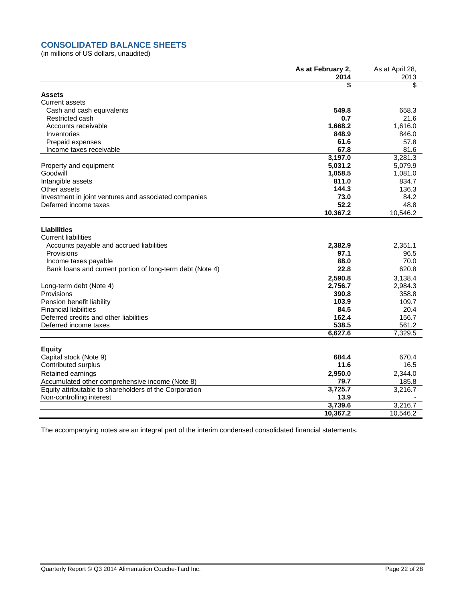### **CONSOLIDATED BALANCE SHEETS**

(in millions of US dollars, unaudited)

|                                                           | As at February 2,<br>2014 | As at April 28,<br>2013 |
|-----------------------------------------------------------|---------------------------|-------------------------|
|                                                           | \$                        | \$                      |
| <b>Assets</b>                                             |                           |                         |
| <b>Current assets</b>                                     |                           |                         |
| Cash and cash equivalents                                 | 549.8                     | 658.3                   |
| Restricted cash                                           | 0.7                       | 21.6                    |
| Accounts receivable                                       | 1,668.2                   | 1,616.0                 |
| Inventories                                               | 848.9                     | 846.0                   |
| Prepaid expenses                                          | 61.6                      | 57.8                    |
| Income taxes receivable                                   | 67.8                      | 81.6                    |
|                                                           | 3,197.0                   | 3,281.3                 |
| Property and equipment                                    | 5,031.2                   | 5,079.9                 |
| Goodwill                                                  | 1,058.5                   | 1,081.0                 |
| Intangible assets                                         | 811.0                     | 834.7                   |
| Other assets                                              | 144.3                     | 136.3                   |
| Investment in joint ventures and associated companies     | 73.0                      | 84.2                    |
| Deferred income taxes                                     | 52.2                      | 48.8                    |
|                                                           | 10,367.2                  | 10,546.2                |
| <b>Liabilities</b>                                        |                           |                         |
| <b>Current liabilities</b>                                |                           |                         |
| Accounts payable and accrued liabilities                  | 2,382.9                   | 2,351.1                 |
| Provisions                                                | 97.1                      | 96.5                    |
| Income taxes payable                                      | 88.0                      | 70.0                    |
| Bank loans and current portion of long-term debt (Note 4) | 22.8                      | 620.8                   |
|                                                           |                           | 3,138.4                 |
|                                                           | 2,590.8<br>2,756.7        |                         |
| Long-term debt (Note 4)<br>Provisions                     | 390.8                     | 2,984.3<br>358.8        |
|                                                           | 103.9                     | 109.7                   |
| Pension benefit liability<br><b>Financial liabilities</b> | 84.5                      | 20.4                    |
|                                                           | 162.4                     | 156.7                   |
| Deferred credits and other liabilities                    | 538.5                     |                         |
| Deferred income taxes                                     |                           | 561.2                   |
|                                                           | 6,627.6                   | 7,329.5                 |
| <b>Equity</b>                                             |                           |                         |
| Capital stock (Note 9)                                    | 684.4                     | 670.4                   |
| Contributed surplus                                       | 11.6                      | 16.5                    |
| Retained earnings                                         | 2,950.0                   | 2,344.0                 |
| Accumulated other comprehensive income (Note 8)           | 79.7                      | 185.8                   |
| Equity attributable to shareholders of the Corporation    | 3,725.7                   | 3,216.7                 |
| Non-controlling interest                                  | 13.9                      |                         |
|                                                           | 3,739.6                   | 3,216.7                 |
|                                                           | 10.367.2                  | 10.546.2                |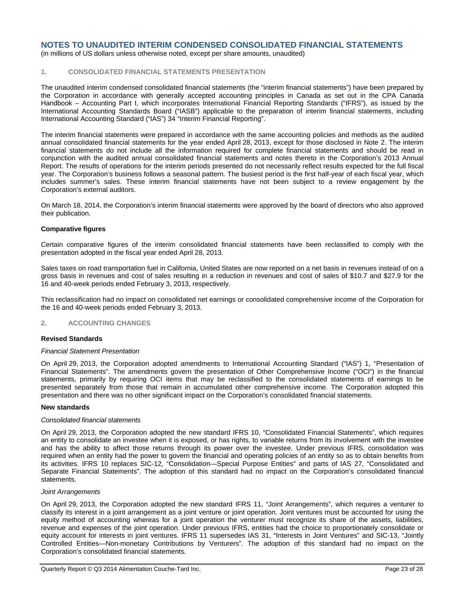(in millions of US dollars unless otherwise noted, except per share amounts, unaudited)

#### **1. CONSOLIDATED FINANCIAL STATEMENTS PRESENTATION**

The unaudited interim condensed consolidated financial statements (the "interim financial statements") have been prepared by the Corporation in accordance with generally accepted accounting principles in Canada as set out in the CPA Canada Handbook – Accounting Part I, which incorporates International Financial Reporting Standards ("IFRS"), as issued by the International Accounting Standards Board ("IASB") applicable to the preparation of interim financial statements, including International Accounting Standard ("IAS") 34 "Interim Financial Reporting".

The interim financial statements were prepared in accordance with the same accounting policies and methods as the audited annual consolidated financial statements for the year ended April 28, 2013, except for those disclosed in Note 2. The interim financial statements do not include all the information required for complete financial statements and should be read in conjunction with the audited annual consolidated financial statements and notes thereto in the Corporation's 2013 Annual Report. The results of operations for the interim periods presented do not necessarily reflect results expected for the full fiscal year. The Corporation's business follows a seasonal pattern. The busiest period is the first half-year of each fiscal year, which includes summer's sales. These interim financial statements have not been subject to a review engagement by the Corporation's external auditors.

On March 18, 2014, the Corporation's interim financial statements were approved by the board of directors who also approved their publication.

#### **Comparative figures**

Certain comparative figures of the interim consolidated financial statements have been reclassified to comply with the presentation adopted in the fiscal year ended April 28, 2013.

Sales taxes on road transportation fuel in California, United States are now reported on a net basis in revenues instead of on a gross basis in revenues and cost of sales resulting in a reduction in revenues and cost of sales of \$10.7 and \$27.9 for the 16 and 40-week periods ended February 3, 2013, respectively.

This reclassification had no impact on consolidated net earnings or consolidated comprehensive income of the Corporation for the 16 and 40-week periods ended February 3, 2013.

#### **2. ACCOUNTING CHANGES**

#### **Revised Standards**

#### *Financial Statement Presentation*

On April 29, 2013, the Corporation adopted amendments to International Accounting Standard ("IAS") 1, "Presentation of Financial Statements". The amendments govern the presentation of Other Comprehensive Income ("OCI") in the financial statements, primarily by requiring OCI items that may be reclassified to the consolidated statements of earnings to be presented separately from those that remain in accumulated other comprehensive income. The Corporation adopted this presentation and there was no other significant impact on the Corporation's consolidated financial statements.

#### **New standards**

#### *Consolidated financial statements*

On April 29, 2013, the Corporation adopted the new standard IFRS 10, "Consolidated Financial Statements", which requires an entity to consolidate an investee when it is exposed, or has rights, to variable returns from its involvement with the investee and has the ability to affect those returns through its power over the investee. Under previous IFRS, consolidation was required when an entity had the power to govern the financial and operating policies of an entity so as to obtain benefits from its activities. IFRS 10 replaces SIC-12, "Consolidation—Special Purpose Entities" and parts of IAS 27, "Consolidated and Separate Financial Statements". The adoption of this standard had no impact on the Corporation's consolidated financial statements.

#### *Joint Arrangements*

On April 29, 2013, the Corporation adopted the new standard IFRS 11, "Joint Arrangements", which requires a venturer to classify its interest in a joint arrangement as a joint venture or joint operation. Joint ventures must be accounted for using the equity method of accounting whereas for a joint operation the venturer must recognize its share of the assets, liabilities, revenue and expenses of the joint operation. Under previous IFRS, entities had the choice to proportionately consolidate or equity account for interests in joint ventures. IFRS 11 supersedes IAS 31, "Interests in Joint Ventures" and SIC-13, "Jointly Controlled Entities—Non-monetary Contributions by Venturers". The adoption of this standard had no impact on the Corporation's consolidated financial statements.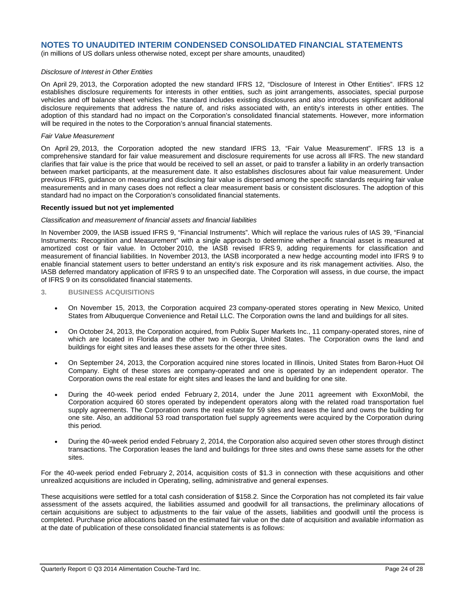(in millions of US dollars unless otherwise noted, except per share amounts, unaudited)

#### *Disclosure of Interest in Other Entities*

On April 29, 2013, the Corporation adopted the new standard IFRS 12, "Disclosure of Interest in Other Entities". IFRS 12 establishes disclosure requirements for interests in other entities, such as joint arrangements, associates, special purpose vehicles and off balance sheet vehicles. The standard includes existing disclosures and also introduces significant additional disclosure requirements that address the nature of, and risks associated with, an entity's interests in other entities. The adoption of this standard had no impact on the Corporation's consolidated financial statements. However, more information will be required in the notes to the Corporation's annual financial statements.

#### *Fair Value Measurement*

On April 29, 2013, the Corporation adopted the new standard IFRS 13, "Fair Value Measurement". IFRS 13 is a comprehensive standard for fair value measurement and disclosure requirements for use across all IFRS. The new standard clarifies that fair value is the price that would be received to sell an asset, or paid to transfer a liability in an orderly transaction between market participants, at the measurement date. It also establishes disclosures about fair value measurement. Under previous IFRS, guidance on measuring and disclosing fair value is dispersed among the specific standards requiring fair value measurements and in many cases does not reflect a clear measurement basis or consistent disclosures. The adoption of this standard had no impact on the Corporation's consolidated financial statements.

#### **Recently issued but not yet implemented**

#### *Classification and measurement of financial assets and financial liabilities*

In November 2009, the IASB issued IFRS 9, "Financial Instruments". Which will replace the various rules of IAS 39, "Financial Instruments: Recognition and Measurement" with a single approach to determine whether a financial asset is measured at amortized cost or fair value. In October 2010, the IASB revised IFRS 9, adding requirements for classification and measurement of financial liabilities. In November 2013, the IASB incorporated a new hedge accounting model into IFRS 9 to enable financial statement users to better understand an entity's risk exposure and its risk management activities. Also, the IASB deferred mandatory application of IFRS 9 to an unspecified date. The Corporation will assess, in due course, the impact of IFRS 9 on its consolidated financial statements.

### **3. BUSINESS ACQUISITIONS**

- On November 15, 2013, the Corporation acquired 23 company-operated stores operating in New Mexico, United States from Albuquerque Convenience and Retail LLC. The Corporation owns the land and buildings for all sites.
- On October 24, 2013, the Corporation acquired, from Publix Super Markets Inc., 11 company-operated stores, nine of which are located in Florida and the other two in Georgia, United States. The Corporation owns the land and buildings for eight sites and leases these assets for the other three sites.
- On September 24, 2013, the Corporation acquired nine stores located in Illinois, United States from Baron-Huot Oil Company. Eight of these stores are company-operated and one is operated by an independent operator. The Corporation owns the real estate for eight sites and leases the land and building for one site.
- During the 40-week period ended February 2, 2014, under the June 2011 agreement with ExxonMobil, the Corporation acquired 60 stores operated by independent operators along with the related road transportation fuel supply agreements. The Corporation owns the real estate for 59 sites and leases the land and owns the building for one site. Also, an additional 53 road transportation fuel supply agreements were acquired by the Corporation during this period.
- During the 40-week period ended February 2, 2014, the Corporation also acquired seven other stores through distinct transactions. The Corporation leases the land and buildings for three sites and owns these same assets for the other sites.

For the 40-week period ended February 2, 2014, acquisition costs of \$1.3 in connection with these acquisitions and other unrealized acquisitions are included in Operating, selling, administrative and general expenses.

These acquisitions were settled for a total cash consideration of \$158.2. Since the Corporation has not completed its fair value assessment of the assets acquired, the liabilities assumed and goodwill for all transactions, the preliminary allocations of certain acquisitions are subject to adjustments to the fair value of the assets, liabilities and goodwill until the process is completed. Purchase price allocations based on the estimated fair value on the date of acquisition and available information as at the date of publication of these consolidated financial statements is as follows: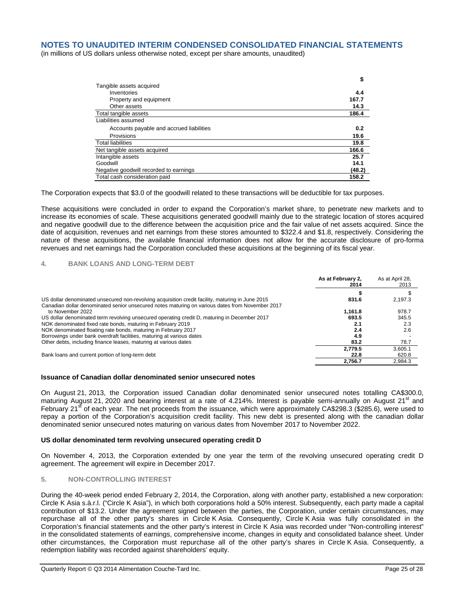(in millions of US dollars unless otherwise noted, except per share amounts, unaudited)

|                                          | \$     |
|------------------------------------------|--------|
| Tangible assets acquired                 |        |
| Inventories                              | 4.4    |
| Property and equipment                   | 167.7  |
| Other assets                             | 14.3   |
| Total tangible assets                    | 186.4  |
| Liabilities assumed                      |        |
| Accounts payable and accrued liabilities | 0.2    |
| Provisions                               | 19.6   |
| <b>Total liabilities</b>                 | 19.8   |
| Net tangible assets acquired             | 166.6  |
| Intangible assets                        | 25.7   |
| Goodwill                                 | 14.1   |
| Negative goodwill recorded to earnings   | (48.2) |
| Total cash consideration paid            | 158.2  |

The Corporation expects that \$3.0 of the goodwill related to these transactions will be deductible for tax purposes.

These acquisitions were concluded in order to expand the Corporation's market share, to penetrate new markets and to increase its economies of scale. These acquisitions generated goodwill mainly due to the strategic location of stores acquired and negative goodwill due to the difference between the acquisition price and the fair value of net assets acquired. Since the date of acquisition, revenues and net earnings from these stores amounted to \$322.4 and \$1.8, respectively. Considering the nature of these acquisitions, the available financial information does not allow for the accurate disclosure of pro-forma revenues and net earnings had the Corporation concluded these acquisitions at the beginning of its fiscal year.

### **4. BANK LOANS AND LONG-TERM DEBT**

|                                                                                                                                                                                                     | As at February 2,<br>2014 | As at April 28,<br>2013 |
|-----------------------------------------------------------------------------------------------------------------------------------------------------------------------------------------------------|---------------------------|-------------------------|
|                                                                                                                                                                                                     |                           |                         |
| US dollar denominated unsecured non-revolving acquisition credit facility, maturing in June 2015<br>Canadian dollar denominated senior unsecured notes maturing on various dates from November 2017 | 831.6                     | 2,197.3                 |
| to November 2022                                                                                                                                                                                    | 1.161.8                   | 978.7                   |
| US dollar denominated term revolving unsecured operating credit D, maturing in December 2017                                                                                                        | 693.5                     | 345.5                   |
| NOK denominated fixed rate bonds, maturing in February 2019                                                                                                                                         | 2.1                       | 2.3                     |
| NOK denominated floating rate bonds, maturing in February 2017                                                                                                                                      | 2.4                       | 2.6                     |
| Borrowings under bank overdraft facilities, maturing at various dates                                                                                                                               | 4.9                       |                         |
| Other debts, including finance leases, maturing at various dates                                                                                                                                    | 83.2                      | 78.7                    |
|                                                                                                                                                                                                     | 2.779.5                   | 3.605.1                 |
| Bank loans and current portion of long-term debt                                                                                                                                                    | 22.8                      | 620.8                   |
|                                                                                                                                                                                                     | 2.756.7                   | 2,984.3                 |

#### **Issuance of Canadian dollar denominated senior unsecured notes**

On August 21, 2013, the Corporation issued Canadian dollar denominated senior unsecured notes totalling CA\$300.0, maturing August 21, 2020 and bearing interest at a rate of 4.214%. Interest is payable semi-annually on August  $21<sup>st</sup>$  and February 21<sup>st</sup> of each year. The net proceeds from the issuance, which were approximately CA\$298.3 (\$285.6), were used to repay a portion of the Corporation's acquisition credit facility. This new debt is presented along with the canadian dollar denominated senior unsecured notes maturing on various dates from November 2017 to November 2022.

#### **US dollar denominated term revolving unsecured operating credit D**

On November 4, 2013, the Corporation extended by one year the term of the revolving unsecured operating credit D agreement. The agreement will expire in December 2017.

### **5. NON-CONTROLLING INTEREST**

During the 40-week period ended February 2, 2014, the Corporation, along with another party, established a new corporation: Circle K Asia s.à.r.l. ("Circle K Asia"), in which both corporations hold a 50% interest. Subsequently, each party made a capital contribution of \$13.2. Under the agreement signed between the parties, the Corporation, under certain circumstances, may repurchase all of the other party's shares in Circle K Asia. Consequently, Circle K Asia was fully consolidated in the Corporation's financial statements and the other party's interest in Circle K Asia was recorded under "Non-controlling interest" in the consolidated statements of earnings, comprehensive income, changes in equity and consolidated balance sheet. Under other circumstances, the Corporation must repurchase all of the other party's shares in Circle K Asia. Consequently, a redemption liability was recorded against shareholders' equity.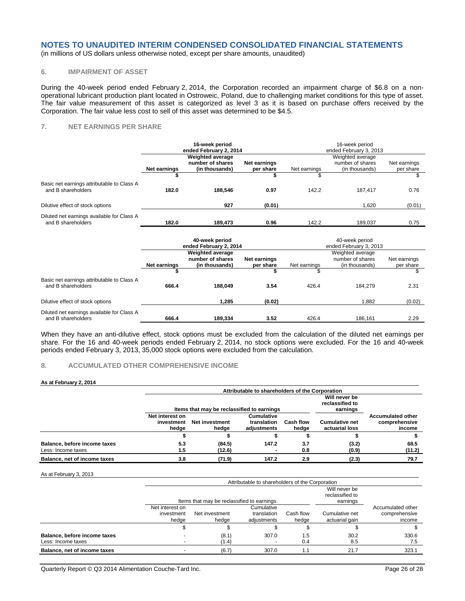(in millions of US dollars unless otherwise noted, except per share amounts, unaudited)

### **6. IMPAIRMENT OF ASSET**

During the 40-week period ended February 2, 2014, the Corporation recorded an impairment charge of \$6.8 on a nonoperational lubricant production plant located in Ostroweic, Poland, due to challenging market conditions for this type of asset. The fair value measurement of this asset is categorized as level 3 as it is based on purchase offers received by the Corporation. The fair value less cost to sell of this asset was determined to be \$4.5.

#### **7. NET EARNINGS PER SHARE**

|                                                                  |                                                                                                            | 16-week period<br>ended February 2, 2014 |        | 16-week period<br>ended February 3, 2013                                                            |         |        |  |
|------------------------------------------------------------------|------------------------------------------------------------------------------------------------------------|------------------------------------------|--------|-----------------------------------------------------------------------------------------------------|---------|--------|--|
|                                                                  | <b>Weighted average</b><br>number of shares<br>Net earnings<br>Net earnings<br>per share<br>(in thousands) |                                          |        | Weighted average<br>number of shares<br>Net earnings<br>Net earnings<br>(in thousands)<br>per share |         |        |  |
|                                                                  |                                                                                                            |                                          |        |                                                                                                     |         |        |  |
| Basic net earnings attributable to Class A<br>and B shareholders | 182.0                                                                                                      | 188.546                                  | 0.97   | 142.2                                                                                               | 187.417 | 0.76   |  |
| Dilutive effect of stock options                                 |                                                                                                            | 927                                      | (0.01) |                                                                                                     | 1.620   | (0.01) |  |
| Diluted net earnings available for Class A<br>and B shareholders | 182.0                                                                                                      | 189.473                                  | 0.96   | 142.2                                                                                               | 189.037 | 0.75   |  |

|                                                                  |                                                                                                            | 40-week period<br>ended February 2, 2014 |        | 40-week period<br>ended February 3, 2013                                                            |         |        |  |
|------------------------------------------------------------------|------------------------------------------------------------------------------------------------------------|------------------------------------------|--------|-----------------------------------------------------------------------------------------------------|---------|--------|--|
|                                                                  | <b>Weighted average</b><br>number of shares<br>Net earnings<br>Net earnings<br>(in thousands)<br>per share |                                          |        | Weighted average<br>number of shares<br>Net earnings<br>Net earnings<br>(in thousands)<br>per share |         |        |  |
|                                                                  |                                                                                                            |                                          |        |                                                                                                     |         |        |  |
| Basic net earnings attributable to Class A<br>and B shareholders | 666.4                                                                                                      | 188.049                                  | 3.54   | 426.4                                                                                               | 184.279 | 2.31   |  |
| Dilutive effect of stock options                                 |                                                                                                            | 1.285                                    | (0.02) |                                                                                                     | 1.882   | (0.02) |  |
| Diluted net earnings available for Class A<br>and B shareholders | 666.4                                                                                                      | 189.334                                  | 3.52   | 426.4                                                                                               | 186.161 | 2.29   |  |

When they have an anti-dilutive effect, stock options must be excluded from the calculation of the diluted net earnings per share. For the 16 and 40-week periods ended February 2, 2014, no stock options were excluded. For the 16 and 40-week periods ended February 3, 2013, 35,000 stock options were excluded from the calculation.

### **8. ACCUMULATED OTHER COMPREHENSIVE INCOME**

#### **As at February 2, 2014**

|                                                    |                                        | Attributable to shareholders of the Corporation                                            |                                          |                    |                                         |                                                     |  |  |  |
|----------------------------------------------------|----------------------------------------|--------------------------------------------------------------------------------------------|------------------------------------------|--------------------|-----------------------------------------|-----------------------------------------------------|--|--|--|
|                                                    |                                        | Will never be<br>reclassified to<br>earnings<br>Items that may be reclassified to earnings |                                          |                    |                                         |                                                     |  |  |  |
|                                                    | Net interest on<br>investment<br>hedae | <b>Net investment</b><br>hedae                                                             | Cumulative<br>translation<br>adiustments | Cash flow<br>hedae | <b>Cumulative net</b><br>actuarial loss | <b>Accumulated other</b><br>comprehensive<br>income |  |  |  |
|                                                    |                                        |                                                                                            |                                          |                    |                                         |                                                     |  |  |  |
| Balance, before income taxes<br>Less: Income taxes | 5.3<br>1.5                             | (84.5)<br>(12.6)                                                                           | 147.2                                    | 3.7<br>0.8         | (3.2)<br>(0.9)                          | 68.5<br>(11.2)                                      |  |  |  |
| Balance, net of income taxes                       | 3.8                                    | (71.9)                                                                                     | 147.2                                    | 2.9                | (2.3)                                   | 79.7                                                |  |  |  |

#### As at February 3, 2013

|                                                    |                                        | Attributable to shareholders of the Corporation                                            |                                          |                    |                                  |                                              |  |  |  |
|----------------------------------------------------|----------------------------------------|--------------------------------------------------------------------------------------------|------------------------------------------|--------------------|----------------------------------|----------------------------------------------|--|--|--|
|                                                    |                                        | Will never be<br>reclassified to<br>Items that may be reclassified to earnings<br>earnings |                                          |                    |                                  |                                              |  |  |  |
|                                                    | Net interest on<br>investment<br>hedae | Net investment<br>hedae                                                                    | Cumulative<br>translation<br>adjustments | Cash flow<br>hedge | Cumulative net<br>actuarial gain | Accumulated other<br>comprehensive<br>income |  |  |  |
|                                                    |                                        |                                                                                            |                                          |                    |                                  |                                              |  |  |  |
| Balance, before income taxes<br>Less: Income taxes |                                        | (8.1)<br>(1.4)                                                                             | 307.0                                    | 1.5<br>0.4         | 30.2<br>8.5                      | 330.6<br>7.5                                 |  |  |  |
| Balance, net of income taxes                       |                                        | (6.7)                                                                                      | 307.0                                    |                    | 21.7                             | 323.1                                        |  |  |  |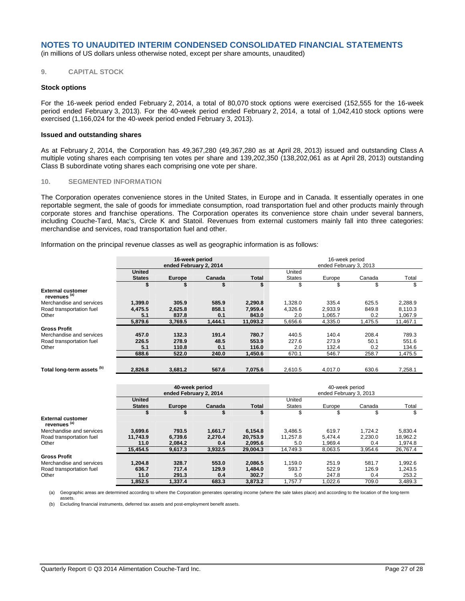(in millions of US dollars unless otherwise noted, except per share amounts, unaudited)

### **9. CAPITAL STOCK**

#### **Stock options**

For the 16-week period ended February 2, 2014, a total of 80,070 stock options were exercised (152,555 for the 16-week period ended February 3, 2013). For the 40-week period ended February 2, 2014, a total of 1,042,410 stock options were exercised (1,166,024 for the 40-week period ended February 3, 2013).

#### **Issued and outstanding shares**

As at February 2, 2014, the Corporation has 49,367,280 (49,367,280 as at April 28, 2013) issued and outstanding Class A multiple voting shares each comprising ten votes per share and 139,202,350 (138,202,061 as at April 28, 2013) outstanding Class B subordinate voting shares each comprising one vote per share.

#### **10. SEGMENTED INFORMATION**

The Corporation operates convenience stores in the United States, in Europe and in Canada. It essentially operates in one reportable segment, the sale of goods for immediate consumption, road transportation fuel and other products mainly through corporate stores and franchise operations. The Corporation operates its convenience store chain under several banners, including Couche-Tard, Mac's, Circle K and Statoil. Revenues from external customers mainly fall into three categories: merchandise and services, road transportation fuel and other.

Information on the principal revenue classes as well as geographic information is as follows:

|                                                     | 16-week period<br>ended February 2, 2014 |               |         |          | 16-week period         |         |         |          |  |
|-----------------------------------------------------|------------------------------------------|---------------|---------|----------|------------------------|---------|---------|----------|--|
|                                                     |                                          |               |         |          | ended February 3, 2013 |         |         |          |  |
|                                                     | United                                   |               |         |          | United                 |         |         |          |  |
|                                                     | <b>States</b>                            | <b>Europe</b> | Canada  | Total    | <b>States</b>          | Europe  | Canada  | Total    |  |
|                                                     |                                          |               |         |          | \$                     | \$      | \$      | \$       |  |
| <b>External customer</b><br>revenues <sup>(a)</sup> |                                          |               |         |          |                        |         |         |          |  |
| Merchandise and services                            | 1.399.0                                  | 305.9         | 585.9   | 2,290.8  | 1.328.0                | 335.4   | 625.5   | 2,288.9  |  |
| Road transportation fuel                            | 4,475.5                                  | 2,625.8       | 858.1   | 7,959.4  | 4.326.6                | 2,933.9 | 849.8   | 8.110.3  |  |
| Other                                               | 5.1                                      | 837.8         | 0.1     | 843.0    | 2.0                    | 1,065.7 | 0.2     | 1,067.9  |  |
|                                                     | 5,879.6                                  | 3,769.5       | 1.444.1 | 11.093.2 | 5,656.6                | 4.335.0 | 1.475.5 | 11,467.1 |  |
| <b>Gross Profit</b>                                 |                                          |               |         |          |                        |         |         |          |  |
| Merchandise and services                            | 457.0                                    | 132.3         | 191.4   | 780.7    | 440.5                  | 140.4   | 208.4   | 789.3    |  |
| Road transportation fuel                            | 226.5                                    | 278.9         | 48.5    | 553.9    | 227.6                  | 273.9   | 50.1    | 551.6    |  |
| Other                                               | 5.1                                      | 110.8         | 0.1     | 116.0    | 2.0                    | 132.4   | 0.2     | 134.6    |  |
|                                                     | 688.6                                    | 522.0         | 240.0   | 1,450.6  | 670.1                  | 546.7   | 258.7   | 1,475.5  |  |
| Total long-term assets <sup>(b)</sup>               | 2.826.8                                  | 3.681.2       | 567.6   | 7.075.6  | 2.610.5                | 4.017.0 | 630.6   | 7.258.1  |  |

|                                          | 40-week period<br>ended February 2, 2014 |         |         |              | 40-week period<br>ended February 3, 2013 |         |         |          |
|------------------------------------------|------------------------------------------|---------|---------|--------------|------------------------------------------|---------|---------|----------|
|                                          | <b>United</b><br><b>States</b>           | Europe  | Canada  | <b>Total</b> | United<br><b>States</b>                  | Europe  | Canada  | Total    |
|                                          |                                          |         |         |              | S                                        |         | S       | J        |
| <b>External customer</b><br>revenues (a) |                                          |         |         |              |                                          |         |         |          |
| Merchandise and services                 | 3.699.6                                  | 793.5   | 1.661.7 | 6,154.8      | 3.486.5                                  | 619.7   | 1.724.2 | 5,830.4  |
| Road transportation fuel                 | 11,743.9                                 | 6,739.6 | 2,270.4 | 20,753.9     | 11.257.8                                 | 5.474.4 | 2,230.0 | 18,962.2 |
| Other                                    | 11.0                                     | 2.084.2 | 0.4     | 2,095.6      | 5.0                                      | 1.969.4 | 0.4     | 1,974.8  |
|                                          | 15.454.5                                 | 9,617.3 | 3,932.5 | 29.004.3     | 14.749.3                                 | 8,063.5 | 3.954.6 | 26,767.4 |
| <b>Gross Profit</b>                      |                                          |         |         |              |                                          |         |         |          |
| Merchandise and services                 | 1.204.8                                  | 328.7   | 553.0   | 2,086.5      | 1.159.0                                  | 251.9   | 581.7   | 1.992.6  |
| Road transportation fuel                 | 636.7                                    | 717.4   | 129.9   | 1.484.0      | 593.7                                    | 522.9   | 126.9   | 1.243.5  |
| Other                                    | 11.0                                     | 291.3   | 0.4     | 302.7        | 5.0                                      | 247.8   | 0.4     | 253.2    |
|                                          | 1.852.5                                  | 1.337.4 | 683.3   | 3.873.2      | 1.757.7                                  | 1.022.6 | 709.0   | 3,489.3  |

(a) Geographic areas are determined according to where the Corporation generates operating income (where the sale takes place) and according to the location of the long-term assets.

(b) Excluding financial instruments, deferred tax assets and post-employment benefit assets.